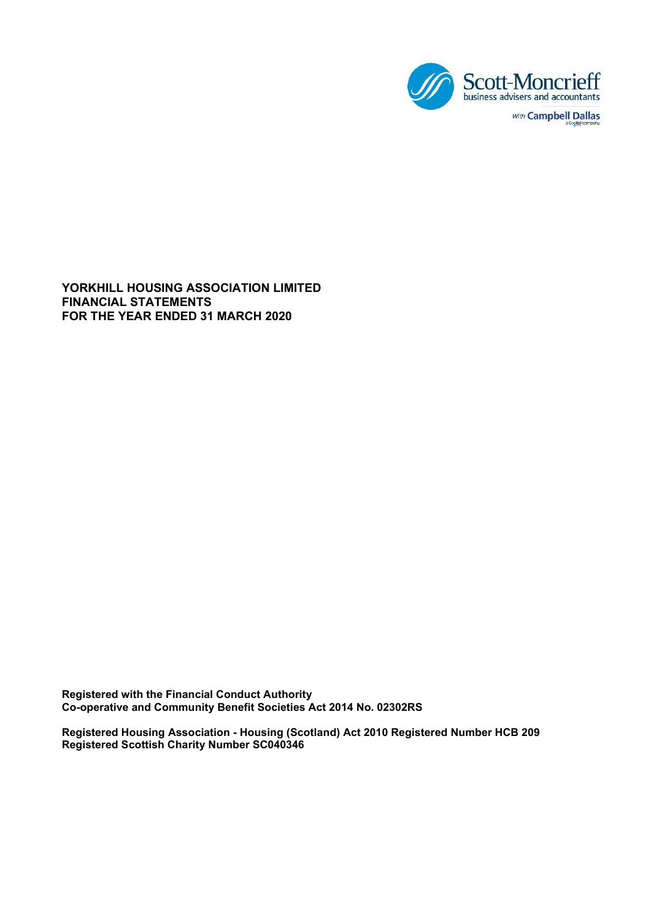

YORKHILL HOUSING ASSOCIATION LIMITED FINANCIAL STATEMENTS FOR THE YEAR ENDED 31 MARCH 2020

Registered with the Financial Conduct Authority Co-operative and Community Benefit Societies Act 2014 No. 02302RS

Registered Housing Association - Housing (Scotland) Act 2010 Registered Number HCB 209 Registered Scottish Charity Number SC040346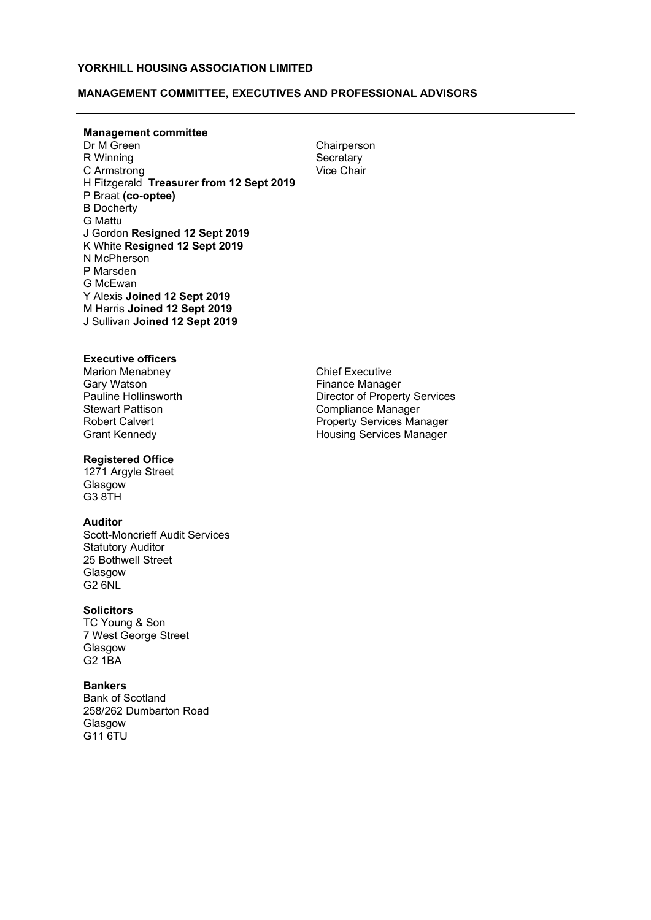# MANAGEMENT COMMITTEE, EXECUTIVES AND PROFESSIONAL ADVISORS

**Management committee**<br>Dr M Green R Winning Secretary<br>
C Armstrong Secretary<br>
Vice Chair C Armstrong H Fitzgerald Treasurer from 12 Sept 2019 P Braat (co-optee) B Docherty G Mattu J Gordon Resigned 12 Sept 2019 K White Resigned 12 Sept 2019 N McPherson P Marsden G McEwan Y Alexis Joined 12 Sept 2019 M Harris Joined 12 Sept 2019 J Sullivan Joined 12 Sept 2019

Chairperson

### Executive officers

Marion Menabney Gary Watson<br>Pauline Hollinsworth Robert Calvert Grant Kennedy

# Registered Office

1271 Argyle Street **Glasgow** G3 8TH

### Auditor

Scott-Moncrieff Audit Services Statutory Auditor 25 Bothwell Street Glasgow G2 6NL

#### **Solicitors**

TC Young & Son 7 West George Street Glasgow G2 1BA

#### Bankers

Bank of Scotland 258/262 Dumbarton Road Glasgow G11 6TU

Chief Executive Finance Manager Pauline Hollinsworth **Director of Property Services**<br>Stewart Pattison **Director of Property Services** Compliance Manager Property Services Manager Housing Services Manager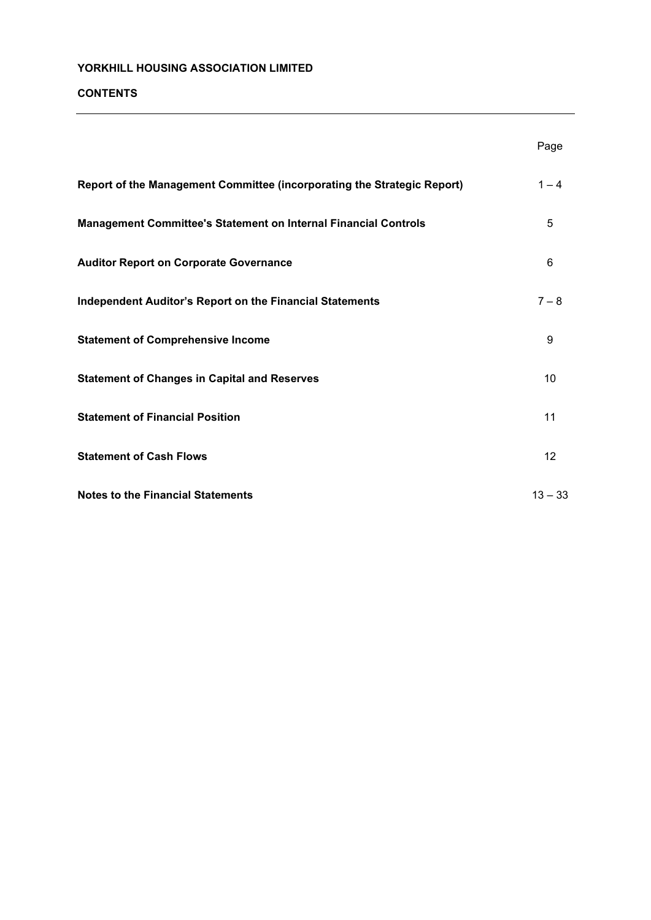# CONTENTS

|                                                                         | Page      |
|-------------------------------------------------------------------------|-----------|
| Report of the Management Committee (incorporating the Strategic Report) | $1 - 4$   |
| Management Committee's Statement on Internal Financial Controls         | 5         |
| <b>Auditor Report on Corporate Governance</b>                           | 6         |
| <b>Independent Auditor's Report on the Financial Statements</b>         | $7 - 8$   |
| <b>Statement of Comprehensive Income</b>                                | 9         |
| <b>Statement of Changes in Capital and Reserves</b>                     | 10        |
| <b>Statement of Financial Position</b>                                  | 11        |
| <b>Statement of Cash Flows</b>                                          | 12        |
| <b>Notes to the Financial Statements</b>                                | $13 - 33$ |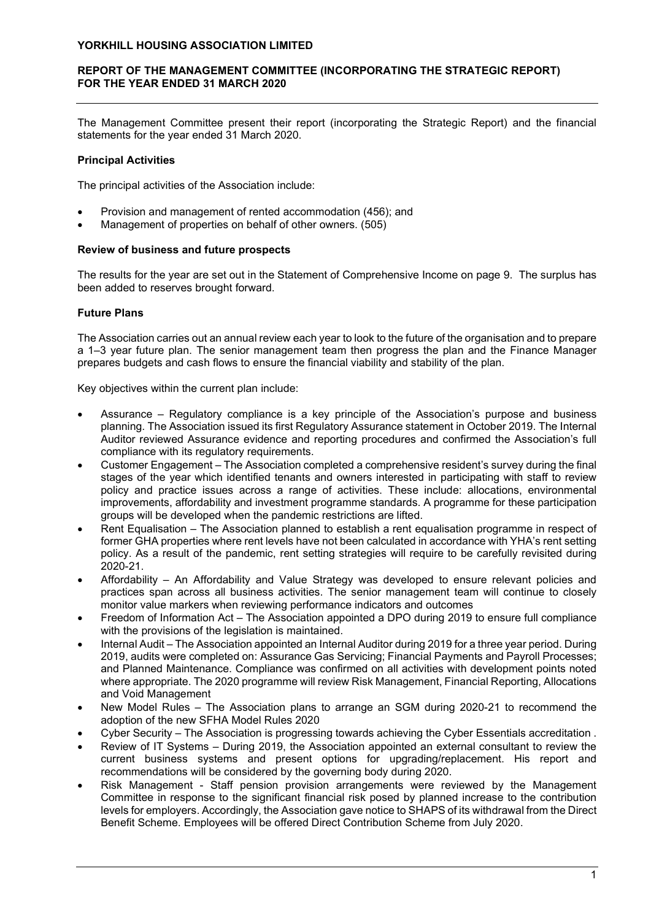# REPORT OF THE MANAGEMENT COMMITTEE (INCORPORATING THE STRATEGIC REPORT) FOR THE YEAR ENDED 31 MARCH 2020

The Management Committee present their report (incorporating the Strategic Report) and the financial statements for the year ended 31 March 2020.

# Principal Activities

The principal activities of the Association include:

- Provision and management of rented accommodation (456); and
- Management of properties on behalf of other owners. (505)

# Review of business and future prospects

The results for the year are set out in the Statement of Comprehensive Income on page 9. The surplus has been added to reserves brought forward.

# Future Plans

The Association carries out an annual review each year to look to the future of the organisation and to prepare a 1–3 year future plan. The senior management team then progress the plan and the Finance Manager prepares budgets and cash flows to ensure the financial viability and stability of the plan.

Key objectives within the current plan include:

- Assurance Regulatory compliance is a key principle of the Association's purpose and business planning. The Association issued its first Regulatory Assurance statement in October 2019. The Internal Auditor reviewed Assurance evidence and reporting procedures and confirmed the Association's full compliance with its regulatory requirements.
- Customer Engagement The Association completed a comprehensive resident's survey during the final stages of the year which identified tenants and owners interested in participating with staff to review policy and practice issues across a range of activities. These include: allocations, environmental improvements, affordability and investment programme standards. A programme for these participation groups will be developed when the pandemic restrictions are lifted.
- Rent Equalisation The Association planned to establish a rent equalisation programme in respect of former GHA properties where rent levels have not been calculated in accordance with YHA's rent setting policy. As a result of the pandemic, rent setting strategies will require to be carefully revisited during 2020-21.
- Affordability An Affordability and Value Strategy was developed to ensure relevant policies and practices span across all business activities. The senior management team will continue to closely monitor value markers when reviewing performance indicators and outcomes
- Freedom of Information Act The Association appointed a DPO during 2019 to ensure full compliance with the provisions of the legislation is maintained.
- Internal Audit The Association appointed an Internal Auditor during 2019 for a three year period. During 2019, audits were completed on: Assurance Gas Servicing; Financial Payments and Payroll Processes; and Planned Maintenance. Compliance was confirmed on all activities with development points noted where appropriate. The 2020 programme will review Risk Management, Financial Reporting, Allocations and Void Management
- New Model Rules The Association plans to arrange an SGM during 2020-21 to recommend the adoption of the new SFHA Model Rules 2020
- Cyber Security The Association is progressing towards achieving the Cyber Essentials accreditation .
- Review of IT Systems During 2019, the Association appointed an external consultant to review the current business systems and present options for upgrading/replacement. His report and recommendations will be considered by the governing body during 2020.
- Risk Management Staff pension provision arrangements were reviewed by the Management Committee in response to the significant financial risk posed by planned increase to the contribution levels for employers. Accordingly, the Association gave notice to SHAPS of its withdrawal from the Direct Benefit Scheme. Employees will be offered Direct Contribution Scheme from July 2020.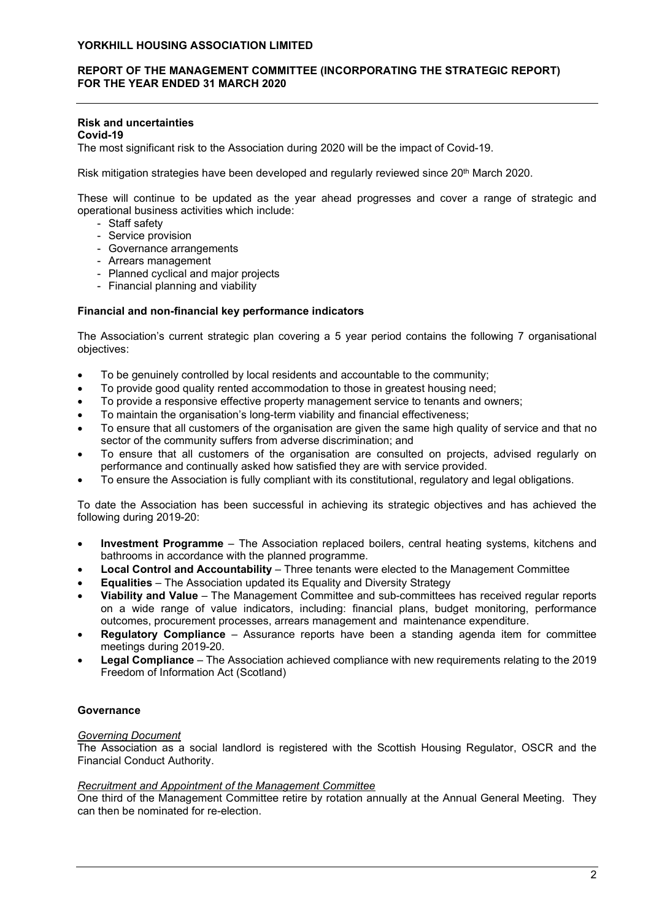# REPORT OF THE MANAGEMENT COMMITTEE (INCORPORATING THE STRATEGIC REPORT) FOR THE YEAR ENDED 31 MARCH 2020

# Risk and uncertainties

Covid-19

The most significant risk to the Association during 2020 will be the impact of Covid-19.

Risk mitigation strategies have been developed and regularly reviewed since 20<sup>th</sup> March 2020.

These will continue to be updated as the year ahead progresses and cover a range of strategic and operational business activities which include:

- Staff safety
- Service provision
- Governance arrangements
- Arrears management
- Planned cyclical and major projects
- Financial planning and viability

## Financial and non-financial key performance indicators

The Association's current strategic plan covering a 5 year period contains the following 7 organisational objectives:

- To be genuinely controlled by local residents and accountable to the community;
- To provide good quality rented accommodation to those in greatest housing need;
- To provide a responsive effective property management service to tenants and owners;
- To maintain the organisation's long-term viability and financial effectiveness;
- To ensure that all customers of the organisation are given the same high quality of service and that no sector of the community suffers from adverse discrimination; and
- To ensure that all customers of the organisation are consulted on projects, advised regularly on performance and continually asked how satisfied they are with service provided.
- To ensure the Association is fully compliant with its constitutional, regulatory and legal obligations.

To date the Association has been successful in achieving its strategic objectives and has achieved the following during 2019-20:

- Investment Programme The Association replaced boilers, central heating systems, kitchens and bathrooms in accordance with the planned programme.
- Local Control and Accountability Three tenants were elected to the Management Committee
- Equalities The Association updated its Equality and Diversity Strategy
- Viability and Value The Management Committee and sub-committees has received regular reports on a wide range of value indicators, including: financial plans, budget monitoring, performance outcomes, procurement processes, arrears management and maintenance expenditure.
- Regulatory Compliance Assurance reports have been a standing agenda item for committee meetings during 2019-20.
- Legal Compliance The Association achieved compliance with new requirements relating to the 2019 Freedom of Information Act (Scotland)

# **Governance**

### Governing Document

The Association as a social landlord is registered with the Scottish Housing Regulator, OSCR and the Financial Conduct Authority.

### Recruitment and Appointment of the Management Committee

One third of the Management Committee retire by rotation annually at the Annual General Meeting. They can then be nominated for re-election.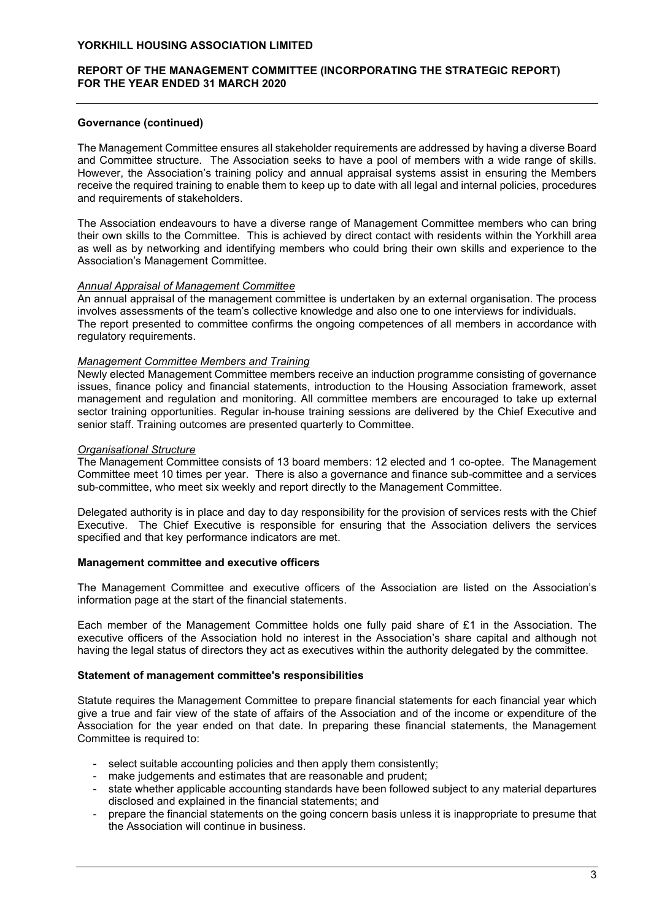# REPORT OF THE MANAGEMENT COMMITTEE (INCORPORATING THE STRATEGIC REPORT) FOR THE YEAR ENDED 31 MARCH 2020

## Governance (continued)

The Management Committee ensures all stakeholder requirements are addressed by having a diverse Board and Committee structure. The Association seeks to have a pool of members with a wide range of skills. However, the Association's training policy and annual appraisal systems assist in ensuring the Members receive the required training to enable them to keep up to date with all legal and internal policies, procedures and requirements of stakeholders.

The Association endeavours to have a diverse range of Management Committee members who can bring their own skills to the Committee. This is achieved by direct contact with residents within the Yorkhill area as well as by networking and identifying members who could bring their own skills and experience to the Association's Management Committee.

### Annual Appraisal of Management Committee

An annual appraisal of the management committee is undertaken by an external organisation. The process involves assessments of the team's collective knowledge and also one to one interviews for individuals. The report presented to committee confirms the ongoing competences of all members in accordance with regulatory requirements.

## Management Committee Members and Training

Newly elected Management Committee members receive an induction programme consisting of governance issues, finance policy and financial statements, introduction to the Housing Association framework, asset management and regulation and monitoring. All committee members are encouraged to take up external sector training opportunities. Regular in-house training sessions are delivered by the Chief Executive and senior staff. Training outcomes are presented quarterly to Committee.

## Organisational Structure

The Management Committee consists of 13 board members: 12 elected and 1 co-optee. The Management Committee meet 10 times per year. There is also a governance and finance sub-committee and a services sub-committee, who meet six weekly and report directly to the Management Committee.

Delegated authority is in place and day to day responsibility for the provision of services rests with the Chief Executive. The Chief Executive is responsible for ensuring that the Association delivers the services specified and that key performance indicators are met.

### Management committee and executive officers

The Management Committee and executive officers of the Association are listed on the Association's information page at the start of the financial statements.

Each member of the Management Committee holds one fully paid share of £1 in the Association. The executive officers of the Association hold no interest in the Association's share capital and although not having the legal status of directors they act as executives within the authority delegated by the committee.

### Statement of management committee's responsibilities

Statute requires the Management Committee to prepare financial statements for each financial year which give a true and fair view of the state of affairs of the Association and of the income or expenditure of the Association for the year ended on that date. In preparing these financial statements, the Management Committee is required to:

- select suitable accounting policies and then apply them consistently;
- make judgements and estimates that are reasonable and prudent;
- state whether applicable accounting standards have been followed subject to any material departures disclosed and explained in the financial statements; and
- prepare the financial statements on the going concern basis unless it is inappropriate to presume that the Association will continue in business.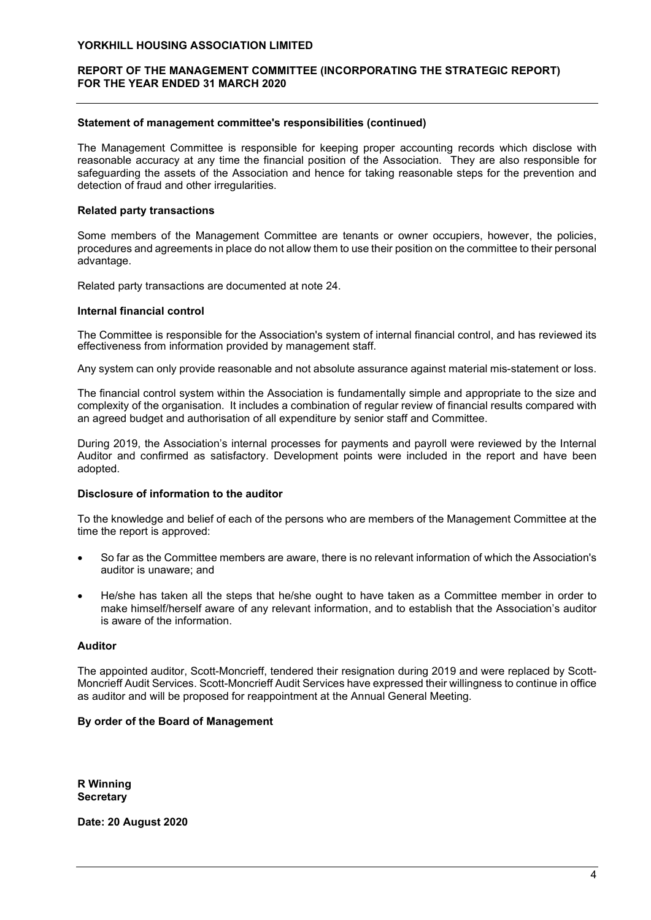# REPORT OF THE MANAGEMENT COMMITTEE (INCORPORATING THE STRATEGIC REPORT) FOR THE YEAR ENDED 31 MARCH 2020

### Statement of management committee's responsibilities (continued)

The Management Committee is responsible for keeping proper accounting records which disclose with reasonable accuracy at any time the financial position of the Association. They are also responsible for safeguarding the assets of the Association and hence for taking reasonable steps for the prevention and detection of fraud and other irregularities.

### Related party transactions

Some members of the Management Committee are tenants or owner occupiers, however, the policies, procedures and agreements in place do not allow them to use their position on the committee to their personal advantage.

Related party transactions are documented at note 24.

### Internal financial control

The Committee is responsible for the Association's system of internal financial control, and has reviewed its effectiveness from information provided by management staff.

Any system can only provide reasonable and not absolute assurance against material mis-statement or loss.

The financial control system within the Association is fundamentally simple and appropriate to the size and complexity of the organisation. It includes a combination of regular review of financial results compared with an agreed budget and authorisation of all expenditure by senior staff and Committee.

During 2019, the Association's internal processes for payments and payroll were reviewed by the Internal Auditor and confirmed as satisfactory. Development points were included in the report and have been adopted.

# Disclosure of information to the auditor

To the knowledge and belief of each of the persons who are members of the Management Committee at the time the report is approved:

- So far as the Committee members are aware, there is no relevant information of which the Association's auditor is unaware; and
- He/she has taken all the steps that he/she ought to have taken as a Committee member in order to make himself/herself aware of any relevant information, and to establish that the Association's auditor is aware of the information.

### Auditor

The appointed auditor, Scott-Moncrieff, tendered their resignation during 2019 and were replaced by Scott-Moncrieff Audit Services. Scott-Moncrieff Audit Services have expressed their willingness to continue in office as auditor and will be proposed for reappointment at the Annual General Meeting.

# By order of the Board of Management

R Winning **Secretary** 

Date: 20 August 2020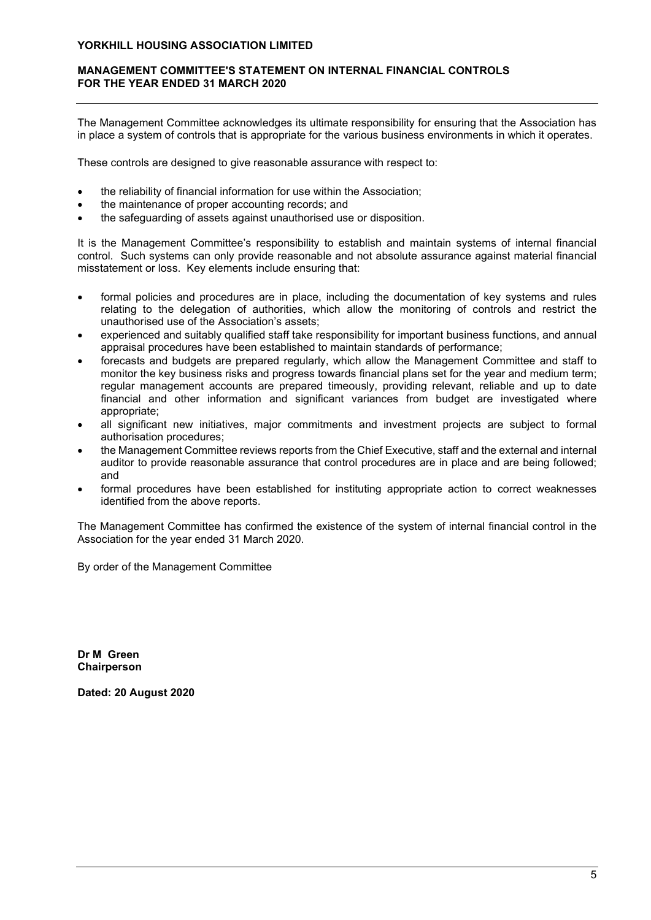# MANAGEMENT COMMITTEE'S STATEMENT ON INTERNAL FINANCIAL CONTROLS FOR THE YEAR ENDED 31 MARCH 2020

The Management Committee acknowledges its ultimate responsibility for ensuring that the Association has in place a system of controls that is appropriate for the various business environments in which it operates.

These controls are designed to give reasonable assurance with respect to:

- the reliability of financial information for use within the Association;
- the maintenance of proper accounting records; and
- the safeguarding of assets against unauthorised use or disposition.

It is the Management Committee's responsibility to establish and maintain systems of internal financial control. Such systems can only provide reasonable and not absolute assurance against material financial misstatement or loss. Key elements include ensuring that:

- formal policies and procedures are in place, including the documentation of key systems and rules relating to the delegation of authorities, which allow the monitoring of controls and restrict the unauthorised use of the Association's assets;
- experienced and suitably qualified staff take responsibility for important business functions, and annual appraisal procedures have been established to maintain standards of performance;
- forecasts and budgets are prepared regularly, which allow the Management Committee and staff to monitor the key business risks and progress towards financial plans set for the year and medium term; regular management accounts are prepared timeously, providing relevant, reliable and up to date financial and other information and significant variances from budget are investigated where appropriate;
- all significant new initiatives, major commitments and investment projects are subject to formal authorisation procedures;
- the Management Committee reviews reports from the Chief Executive, staff and the external and internal auditor to provide reasonable assurance that control procedures are in place and are being followed; and
- formal procedures have been established for instituting appropriate action to correct weaknesses identified from the above reports.

The Management Committee has confirmed the existence of the system of internal financial control in the Association for the year ended 31 March 2020.

By order of the Management Committee

Dr M Green Chairperson

Dated: 20 August 2020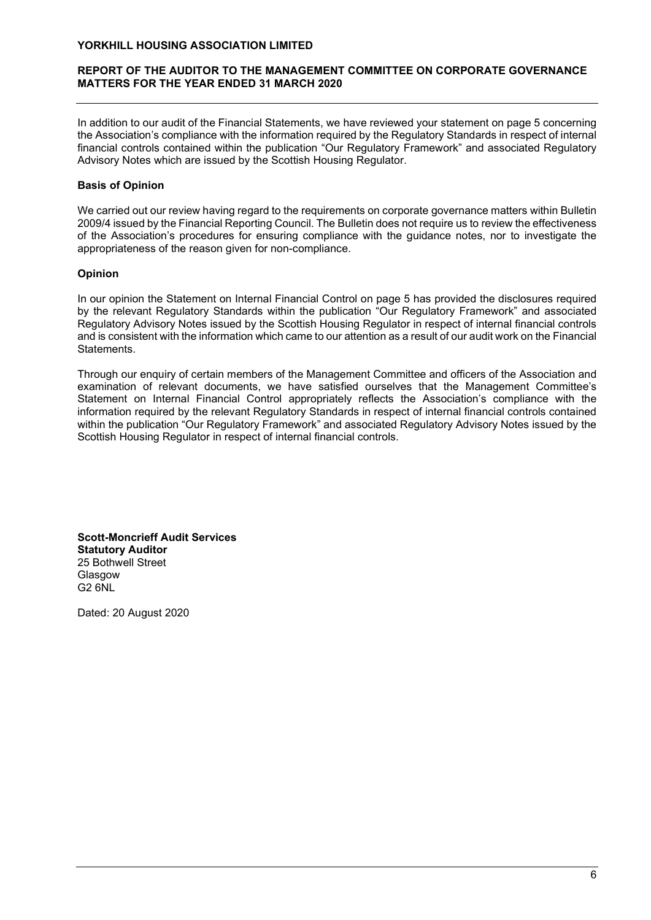# REPORT OF THE AUDITOR TO THE MANAGEMENT COMMITTEE ON CORPORATE GOVERNANCE MATTERS FOR THE YEAR ENDED 31 MARCH 2020

In addition to our audit of the Financial Statements, we have reviewed your statement on page 5 concerning the Association's compliance with the information required by the Regulatory Standards in respect of internal financial controls contained within the publication "Our Regulatory Framework" and associated Regulatory Advisory Notes which are issued by the Scottish Housing Regulator.

# Basis of Opinion

We carried out our review having regard to the requirements on corporate governance matters within Bulletin 2009/4 issued by the Financial Reporting Council. The Bulletin does not require us to review the effectiveness of the Association's procedures for ensuring compliance with the guidance notes, nor to investigate the appropriateness of the reason given for non-compliance.

# Opinion

In our opinion the Statement on Internal Financial Control on page 5 has provided the disclosures required by the relevant Regulatory Standards within the publication "Our Regulatory Framework" and associated Regulatory Advisory Notes issued by the Scottish Housing Regulator in respect of internal financial controls and is consistent with the information which came to our attention as a result of our audit work on the Financial Statements.

Through our enquiry of certain members of the Management Committee and officers of the Association and examination of relevant documents, we have satisfied ourselves that the Management Committee's Statement on Internal Financial Control appropriately reflects the Association's compliance with the information required by the relevant Regulatory Standards in respect of internal financial controls contained within the publication "Our Regulatory Framework" and associated Regulatory Advisory Notes issued by the Scottish Housing Regulator in respect of internal financial controls.

Scott-Moncrieff Audit Services Statutory Auditor 25 Bothwell Street Glasgow G2 6NL

Dated: 20 August 2020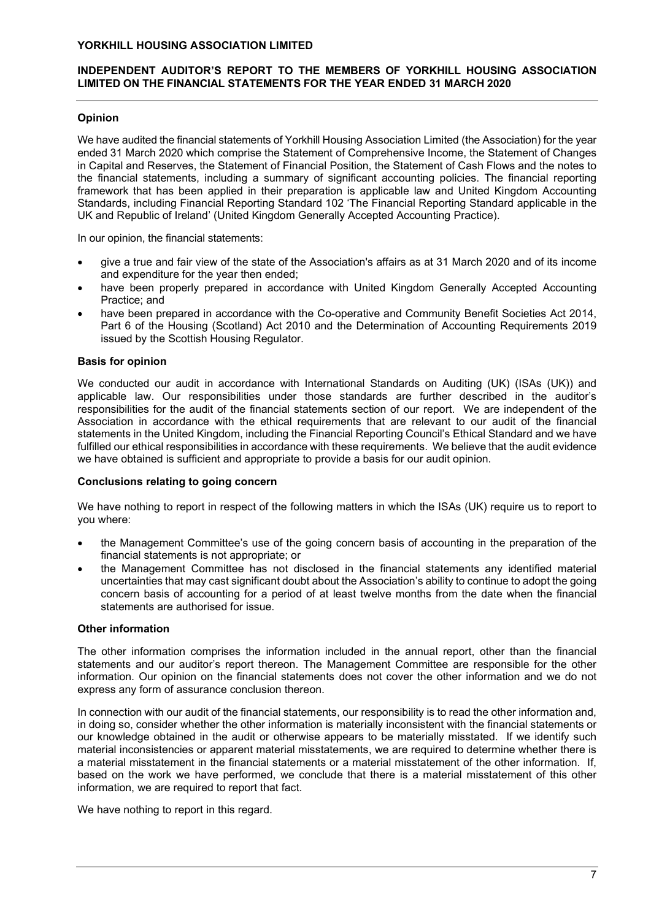# INDEPENDENT AUDITOR'S REPORT TO THE MEMBERS OF YORKHILL HOUSING ASSOCIATION LIMITED ON THE FINANCIAL STATEMENTS FOR THE YEAR ENDED 31 MARCH 2020

# **Opinion**

We have audited the financial statements of Yorkhill Housing Association Limited (the Association) for the year ended 31 March 2020 which comprise the Statement of Comprehensive Income, the Statement of Changes in Capital and Reserves, the Statement of Financial Position, the Statement of Cash Flows and the notes to the financial statements, including a summary of significant accounting policies. The financial reporting framework that has been applied in their preparation is applicable law and United Kingdom Accounting Standards, including Financial Reporting Standard 102 'The Financial Reporting Standard applicable in the UK and Republic of Ireland' (United Kingdom Generally Accepted Accounting Practice).

In our opinion, the financial statements:

- give a true and fair view of the state of the Association's affairs as at 31 March 2020 and of its income and expenditure for the year then ended;
- have been properly prepared in accordance with United Kingdom Generally Accepted Accounting Practice; and
- have been prepared in accordance with the Co-operative and Community Benefit Societies Act 2014, Part 6 of the Housing (Scotland) Act 2010 and the Determination of Accounting Requirements 2019 issued by the Scottish Housing Regulator.

## Basis for opinion

We conducted our audit in accordance with International Standards on Auditing (UK) (ISAs (UK)) and applicable law. Our responsibilities under those standards are further described in the auditor's responsibilities for the audit of the financial statements section of our report. We are independent of the Association in accordance with the ethical requirements that are relevant to our audit of the financial statements in the United Kingdom, including the Financial Reporting Council's Ethical Standard and we have fulfilled our ethical responsibilities in accordance with these requirements. We believe that the audit evidence we have obtained is sufficient and appropriate to provide a basis for our audit opinion.

### Conclusions relating to going concern

We have nothing to report in respect of the following matters in which the ISAs (UK) require us to report to you where:

- the Management Committee's use of the going concern basis of accounting in the preparation of the financial statements is not appropriate; or
- the Management Committee has not disclosed in the financial statements any identified material uncertainties that may cast significant doubt about the Association's ability to continue to adopt the going concern basis of accounting for a period of at least twelve months from the date when the financial statements are authorised for issue.

### Other information

The other information comprises the information included in the annual report, other than the financial statements and our auditor's report thereon. The Management Committee are responsible for the other information. Our opinion on the financial statements does not cover the other information and we do not express any form of assurance conclusion thereon.

In connection with our audit of the financial statements, our responsibility is to read the other information and, in doing so, consider whether the other information is materially inconsistent with the financial statements or our knowledge obtained in the audit or otherwise appears to be materially misstated. If we identify such material inconsistencies or apparent material misstatements, we are required to determine whether there is a material misstatement in the financial statements or a material misstatement of the other information. If, based on the work we have performed, we conclude that there is a material misstatement of this other information, we are required to report that fact.

We have nothing to report in this regard.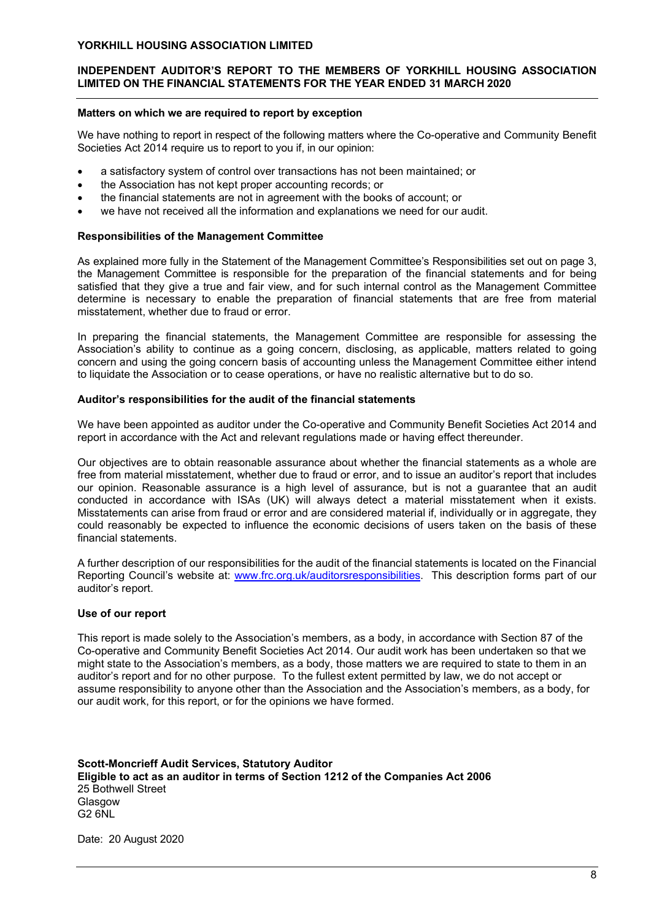# INDEPENDENT AUDITOR'S REPORT TO THE MEMBERS OF YORKHILL HOUSING ASSOCIATION LIMITED ON THE FINANCIAL STATEMENTS FOR THE YEAR ENDED 31 MARCH 2020

# Matters on which we are required to report by exception

We have nothing to report in respect of the following matters where the Co-operative and Community Benefit Societies Act 2014 require us to report to you if, in our opinion:

- a satisfactory system of control over transactions has not been maintained; or
- the Association has not kept proper accounting records; or
- the financial statements are not in agreement with the books of account; or
- we have not received all the information and explanations we need for our audit.

## Responsibilities of the Management Committee

As explained more fully in the Statement of the Management Committee's Responsibilities set out on page 3, the Management Committee is responsible for the preparation of the financial statements and for being satisfied that they give a true and fair view, and for such internal control as the Management Committee determine is necessary to enable the preparation of financial statements that are free from material misstatement, whether due to fraud or error.

In preparing the financial statements, the Management Committee are responsible for assessing the Association's ability to continue as a going concern, disclosing, as applicable, matters related to going concern and using the going concern basis of accounting unless the Management Committee either intend to liquidate the Association or to cease operations, or have no realistic alternative but to do so.

## Auditor's responsibilities for the audit of the financial statements

We have been appointed as auditor under the Co-operative and Community Benefit Societies Act 2014 and report in accordance with the Act and relevant regulations made or having effect thereunder.

Our objectives are to obtain reasonable assurance about whether the financial statements as a whole are free from material misstatement, whether due to fraud or error, and to issue an auditor's report that includes our opinion. Reasonable assurance is a high level of assurance, but is not a guarantee that an audit conducted in accordance with ISAs (UK) will always detect a material misstatement when it exists. Misstatements can arise from fraud or error and are considered material if, individually or in aggregate, they could reasonably be expected to influence the economic decisions of users taken on the basis of these financial statements.

A further description of our responsibilities for the audit of the financial statements is located on the Financial Reporting Council's website at: www.frc.org.uk/auditorsresponsibilities. This description forms part of our auditor's report.

# Use of our report

This report is made solely to the Association's members, as a body, in accordance with Section 87 of the Co-operative and Community Benefit Societies Act 2014. Our audit work has been undertaken so that we might state to the Association's members, as a body, those matters we are required to state to them in an auditor's report and for no other purpose. To the fullest extent permitted by law, we do not accept or assume responsibility to anyone other than the Association and the Association's members, as a body, for our audit work, for this report, or for the opinions we have formed.

Scott-Moncrieff Audit Services, Statutory Auditor Eligible to act as an auditor in terms of Section 1212 of the Companies Act 2006 25 Bothwell Street **Glasgow** G2 6NL

Date: 20 August 2020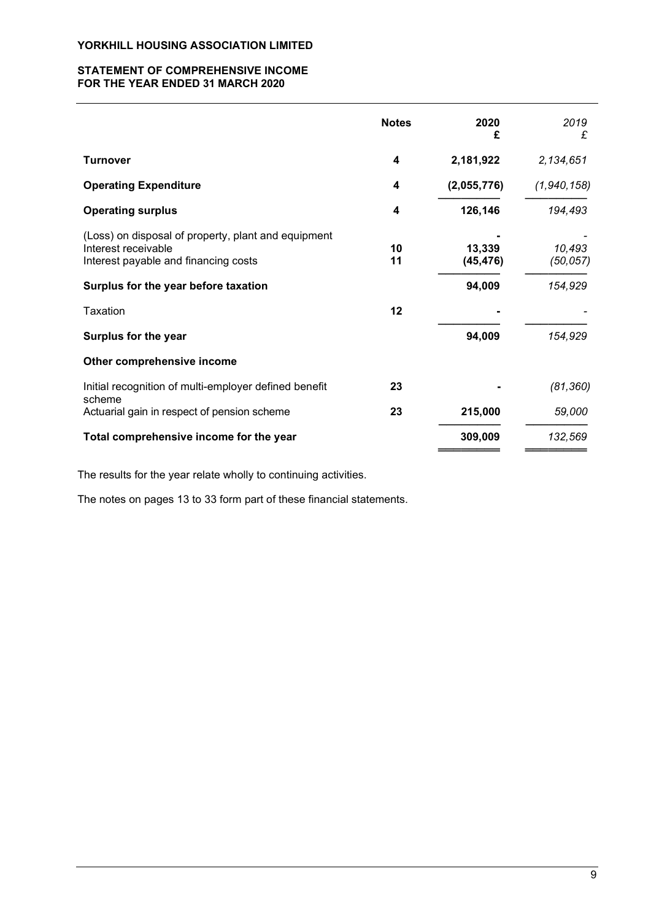## STATEMENT OF COMPREHENSIVE INCOME FOR THE YEAR ENDED 31 MARCH 2020

|                                                                                                                    | <b>Notes</b> | 2020<br>£           | 2019<br>£           |
|--------------------------------------------------------------------------------------------------------------------|--------------|---------------------|---------------------|
| <b>Turnover</b>                                                                                                    | 4            | 2,181,922           | 2,134,651           |
| <b>Operating Expenditure</b>                                                                                       | 4            | (2,055,776)         | (1,940,158)         |
| <b>Operating surplus</b>                                                                                           | 4            | 126,146             | 194,493             |
| (Loss) on disposal of property, plant and equipment<br>Interest receivable<br>Interest payable and financing costs | 10<br>11     | 13,339<br>(45, 476) | 10,493<br>(50, 057) |
| Surplus for the year before taxation                                                                               |              | 94,009              | 154,929             |
| Taxation                                                                                                           | 12           |                     |                     |
| Surplus for the year                                                                                               |              | 94,009              | 154,929             |
| Other comprehensive income                                                                                         |              |                     |                     |
| Initial recognition of multi-employer defined benefit                                                              | 23           |                     | (81, 360)           |
| scheme<br>Actuarial gain in respect of pension scheme                                                              | 23           | 215,000             | 59,000              |
| Total comprehensive income for the year                                                                            |              | 309,009             | 132,569             |

The results for the year relate wholly to continuing activities.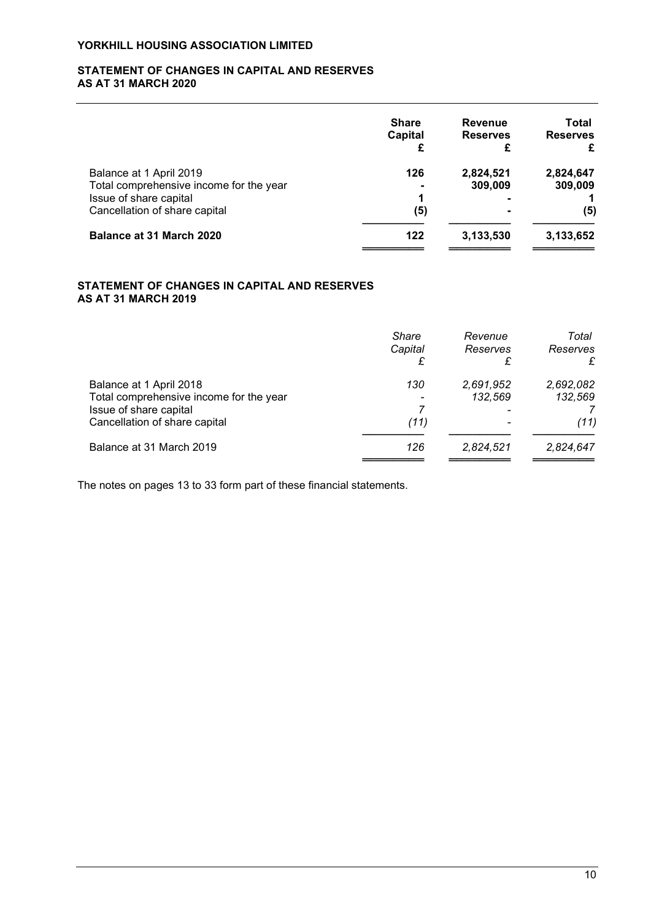## STATEMENT OF CHANGES IN CAPITAL AND RESERVES AS AT 31 MARCH 2020

|                                         | <b>Share</b><br>Capital | <b>Revenue</b><br><b>Reserves</b><br>£ | Total<br><b>Reserves</b><br>£ |
|-----------------------------------------|-------------------------|----------------------------------------|-------------------------------|
| Balance at 1 April 2019                 | 126                     | 2,824,521                              | 2,824,647                     |
| Total comprehensive income for the year |                         | 309,009                                | 309,009                       |
| Issue of share capital                  | ٩                       |                                        |                               |
| Cancellation of share capital           | (5)                     |                                        | (5)                           |
| <b>Balance at 31 March 2020</b>         | 122                     | 3,133,530                              | 3,133,652                     |

# STATEMENT OF CHANGES IN CAPITAL AND RESERVES AS AT 31 MARCH 2019

|                                                                                              | <b>Share</b><br>Capital | Revenue<br>Reserves  | Total<br>Reserves<br>£ |
|----------------------------------------------------------------------------------------------|-------------------------|----------------------|------------------------|
| Balance at 1 April 2018<br>Total comprehensive income for the year<br>Issue of share capital | 130                     | 2,691,952<br>132,569 | 2,692,082<br>132,569   |
| Cancellation of share capital                                                                | (11)                    |                      | (11)                   |
| Balance at 31 March 2019                                                                     | 126                     | 2,824,521            | 2,824,647              |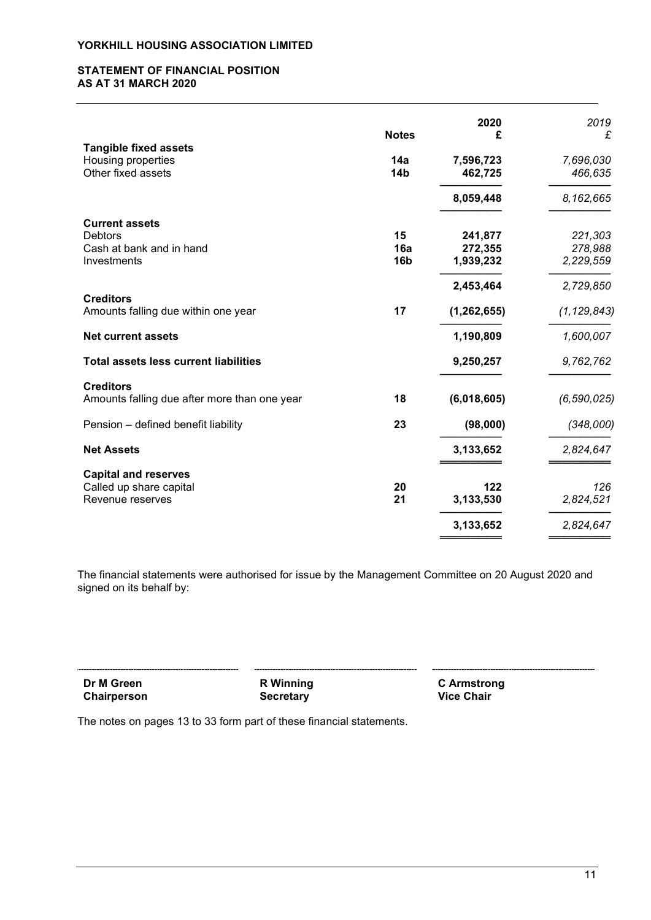### STATEMENT OF FINANCIAL POSITION AS AT 31 MARCH 2020

|                                                                             | <b>Notes</b>                 | 2020<br>£                       | 2019<br>£                       |
|-----------------------------------------------------------------------------|------------------------------|---------------------------------|---------------------------------|
| <b>Tangible fixed assets</b><br>Housing properties<br>Other fixed assets    | 14a<br>14 <sub>b</sub>       | 7,596,723<br>462,725            | 7,696,030<br>466,635            |
|                                                                             |                              | 8,059,448                       | 8,162,665                       |
| <b>Current assets</b><br>Debtors<br>Cash at bank and in hand<br>Investments | 15<br>16a<br>16 <sub>b</sub> | 241,877<br>272,355<br>1,939,232 | 221,303<br>278,988<br>2,229,559 |
| <b>Creditors</b><br>Amounts falling due within one year                     | 17                           | 2,453,464<br>(1, 262, 655)      | 2,729,850<br>(1, 129, 843)      |
| <b>Net current assets</b>                                                   |                              | 1,190,809                       | 1,600,007                       |
| <b>Total assets less current liabilities</b>                                |                              | 9,250,257                       | 9,762,762                       |
| <b>Creditors</b><br>Amounts falling due after more than one year            | 18                           | (6,018,605)                     | (6, 590, 025)                   |
| Pension - defined benefit liability                                         | 23                           | (98,000)                        | (348,000)                       |
| <b>Net Assets</b>                                                           |                              | 3,133,652                       | 2,824,647                       |
| <b>Capital and reserves</b><br>Called up share capital<br>Revenue reserves  | 20<br>21                     | 122<br>3,133,530<br>3,133,652   | 126<br>2,824,521<br>2,824,647   |

The financial statements were authorised for issue by the Management Committee on 20 August 2020 and signed on its behalf by:

| Dr M Green  | <b>R</b> Winning | C Armstrong       |
|-------------|------------------|-------------------|
| Chairperson | <b>Secretary</b> | <b>Vice Chair</b> |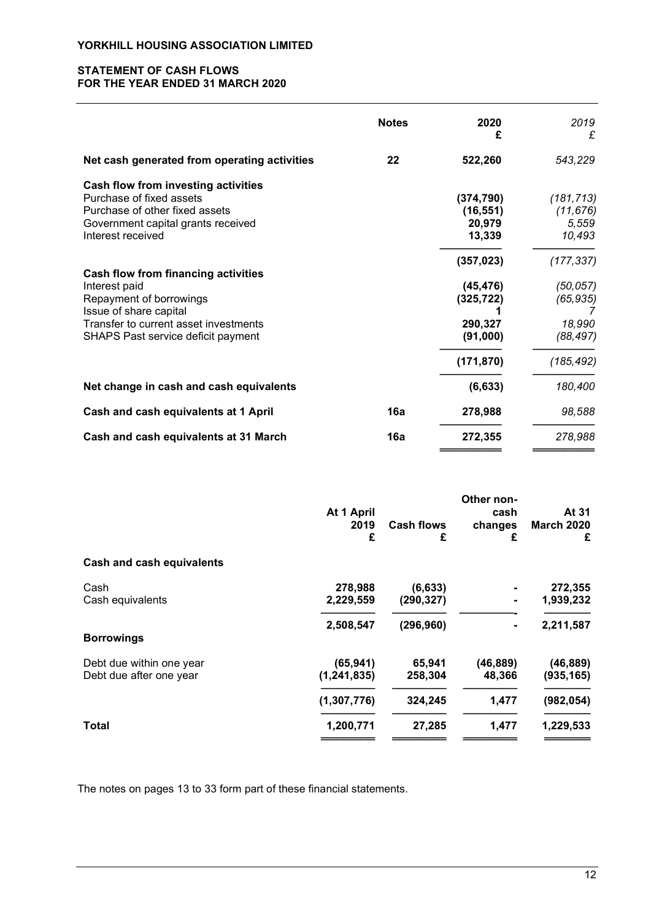# STATEMENT OF CASH FLOWS FOR THE YEAR ENDED 31 MARCH 2020

|                                                                                                                                                                                                 | <b>Notes</b> | 2020<br>£                                                    | 2019<br>£                                                   |
|-------------------------------------------------------------------------------------------------------------------------------------------------------------------------------------------------|--------------|--------------------------------------------------------------|-------------------------------------------------------------|
| Net cash generated from operating activities                                                                                                                                                    | 22           | 522,260                                                      | 543,229                                                     |
| Cash flow from investing activities<br>Purchase of fixed assets<br>Purchase of other fixed assets<br>Government capital grants received<br>Interest received                                    |              | (374, 790)<br>(16, 551)<br>20,979<br>13,339                  | (181, 713)<br>(11, 676)<br>5,559<br>10,493                  |
| <b>Cash flow from financing activities</b><br>Interest paid<br>Repayment of borrowings<br>Issue of share capital<br>Transfer to current asset investments<br>SHAPS Past service deficit payment |              | (357, 023)<br>(45, 476)<br>(325, 722)<br>290,327<br>(91,000) | (177, 337)<br>(50, 057)<br>(65, 935)<br>18,990<br>(88, 497) |
| Net change in cash and cash equivalents                                                                                                                                                         |              | (171, 870)<br>(6, 633)                                       | (185, 492)<br>180,400                                       |
| Cash and cash equivalents at 1 April                                                                                                                                                            | 16a          | 278,988                                                      | 98,588                                                      |
| Cash and cash equivalents at 31 March                                                                                                                                                           | 16a          | 272,355                                                      | 278,988                                                     |

|                                  | At 1 April<br>2019<br>£ | <b>Cash flows</b><br>£ | Other non-<br>cash<br>changes<br>£ | At 31<br><b>March 2020</b><br>£ |
|----------------------------------|-------------------------|------------------------|------------------------------------|---------------------------------|
| <b>Cash and cash equivalents</b> |                         |                        |                                    |                                 |
| Cash                             | 278,988                 | (6, 633)               |                                    | 272,355                         |
| Cash equivalents                 | 2,229,559               | (290, 327)             | $\blacksquare$                     | 1,939,232                       |
|                                  | 2,508,547               | (296, 960)             | $\blacksquare$                     | 2,211,587                       |
| <b>Borrowings</b>                |                         |                        |                                    |                                 |
| Debt due within one year         | (65, 941)               | 65,941                 | (46, 889)                          | (46,889)                        |
| Debt due after one year          | (1, 241, 835)           | 258,304                | 48,366                             | (935, 165)                      |
|                                  | (1,307,776)             | 324,245                | 1,477                              | (982, 054)                      |
| Total                            | 1,200,771               | 27,285                 | 1,477                              | 1,229,533                       |
|                                  |                         |                        |                                    |                                 |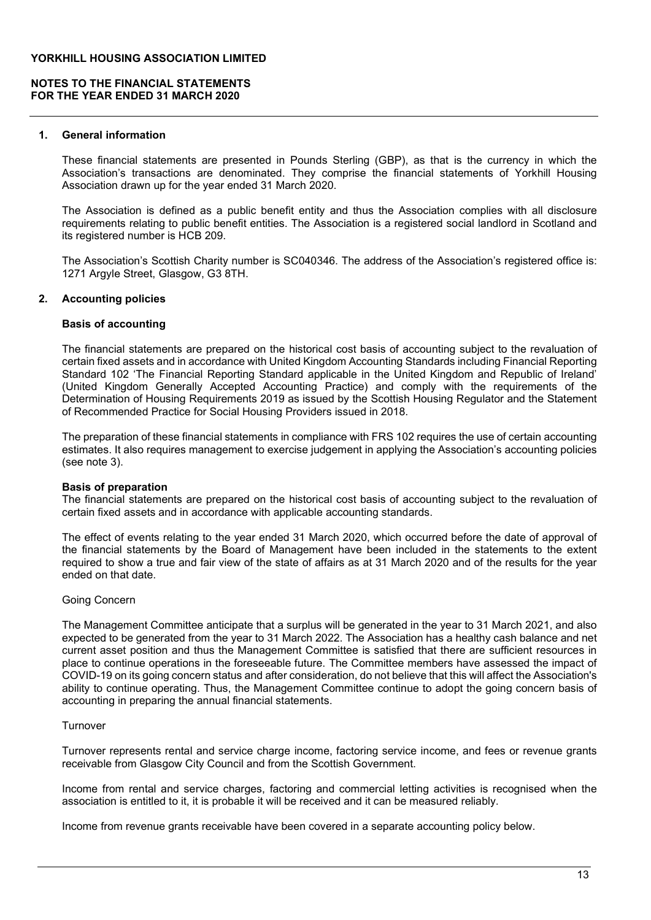# NOTES TO THE FINANCIAL STATEMENTS FOR THE YEAR ENDED 31 MARCH 2020

### 1. General information

These financial statements are presented in Pounds Sterling (GBP), as that is the currency in which the Association's transactions are denominated. They comprise the financial statements of Yorkhill Housing Association drawn up for the year ended 31 March 2020.

The Association is defined as a public benefit entity and thus the Association complies with all disclosure requirements relating to public benefit entities. The Association is a registered social landlord in Scotland and its registered number is HCB 209.

The Association's Scottish Charity number is SC040346. The address of the Association's registered office is: 1271 Argyle Street, Glasgow, G3 8TH.

## 2. Accounting policies

### Basis of accounting

The financial statements are prepared on the historical cost basis of accounting subject to the revaluation of certain fixed assets and in accordance with United Kingdom Accounting Standards including Financial Reporting Standard 102 'The Financial Reporting Standard applicable in the United Kingdom and Republic of Ireland' (United Kingdom Generally Accepted Accounting Practice) and comply with the requirements of the Determination of Housing Requirements 2019 as issued by the Scottish Housing Regulator and the Statement of Recommended Practice for Social Housing Providers issued in 2018.

The preparation of these financial statements in compliance with FRS 102 requires the use of certain accounting estimates. It also requires management to exercise judgement in applying the Association's accounting policies (see note 3).

### Basis of preparation

The financial statements are prepared on the historical cost basis of accounting subject to the revaluation of certain fixed assets and in accordance with applicable accounting standards.

The effect of events relating to the year ended 31 March 2020, which occurred before the date of approval of the financial statements by the Board of Management have been included in the statements to the extent required to show a true and fair view of the state of affairs as at 31 March 2020 and of the results for the year ended on that date.

### Going Concern

The Management Committee anticipate that a surplus will be generated in the year to 31 March 2021, and also expected to be generated from the year to 31 March 2022. The Association has a healthy cash balance and net current asset position and thus the Management Committee is satisfied that there are sufficient resources in place to continue operations in the foreseeable future. The Committee members have assessed the impact of COVID-19 on its going concern status and after consideration, do not believe that this will affect the Association's ability to continue operating. Thus, the Management Committee continue to adopt the going concern basis of accounting in preparing the annual financial statements.

### Turnover

Turnover represents rental and service charge income, factoring service income, and fees or revenue grants receivable from Glasgow City Council and from the Scottish Government.

Income from rental and service charges, factoring and commercial letting activities is recognised when the association is entitled to it, it is probable it will be received and it can be measured reliably.

Income from revenue grants receivable have been covered in a separate accounting policy below.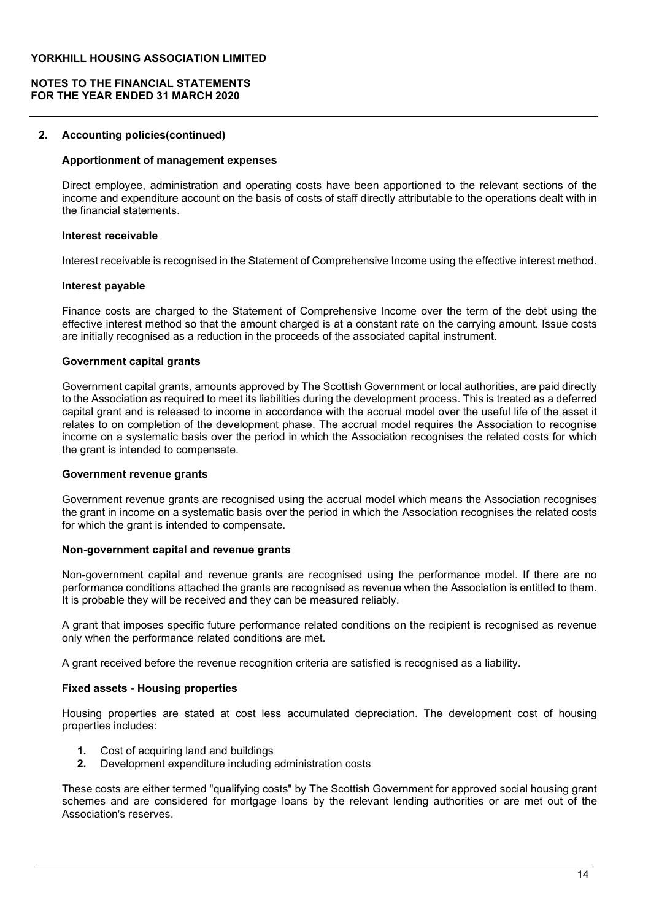## NOTES TO THE FINANCIAL STATEMENTS FOR THE YEAR ENDED 31 MARCH 2020

## 2. Accounting policies(continued)

# Apportionment of management expenses

Direct employee, administration and operating costs have been apportioned to the relevant sections of the income and expenditure account on the basis of costs of staff directly attributable to the operations dealt with in the financial statements.

### Interest receivable

Interest receivable is recognised in the Statement of Comprehensive Income using the effective interest method.

## Interest payable

Finance costs are charged to the Statement of Comprehensive Income over the term of the debt using the effective interest method so that the amount charged is at a constant rate on the carrying amount. Issue costs are initially recognised as a reduction in the proceeds of the associated capital instrument.

## Government capital grants

Government capital grants, amounts approved by The Scottish Government or local authorities, are paid directly to the Association as required to meet its liabilities during the development process. This is treated as a deferred capital grant and is released to income in accordance with the accrual model over the useful life of the asset it relates to on completion of the development phase. The accrual model requires the Association to recognise income on a systematic basis over the period in which the Association recognises the related costs for which the grant is intended to compensate.

### Government revenue grants

Government revenue grants are recognised using the accrual model which means the Association recognises the grant in income on a systematic basis over the period in which the Association recognises the related costs for which the grant is intended to compensate.

### Non-government capital and revenue grants

Non-government capital and revenue grants are recognised using the performance model. If there are no performance conditions attached the grants are recognised as revenue when the Association is entitled to them. It is probable they will be received and they can be measured reliably.

A grant that imposes specific future performance related conditions on the recipient is recognised as revenue only when the performance related conditions are met.

A grant received before the revenue recognition criteria are satisfied is recognised as a liability.

# Fixed assets - Housing properties

Housing properties are stated at cost less accumulated depreciation. The development cost of housing properties includes:

- 1. Cost of acquiring land and buildings
- 2. Development expenditure including administration costs

These costs are either termed "qualifying costs" by The Scottish Government for approved social housing grant schemes and are considered for mortgage loans by the relevant lending authorities or are met out of the Association's reserves.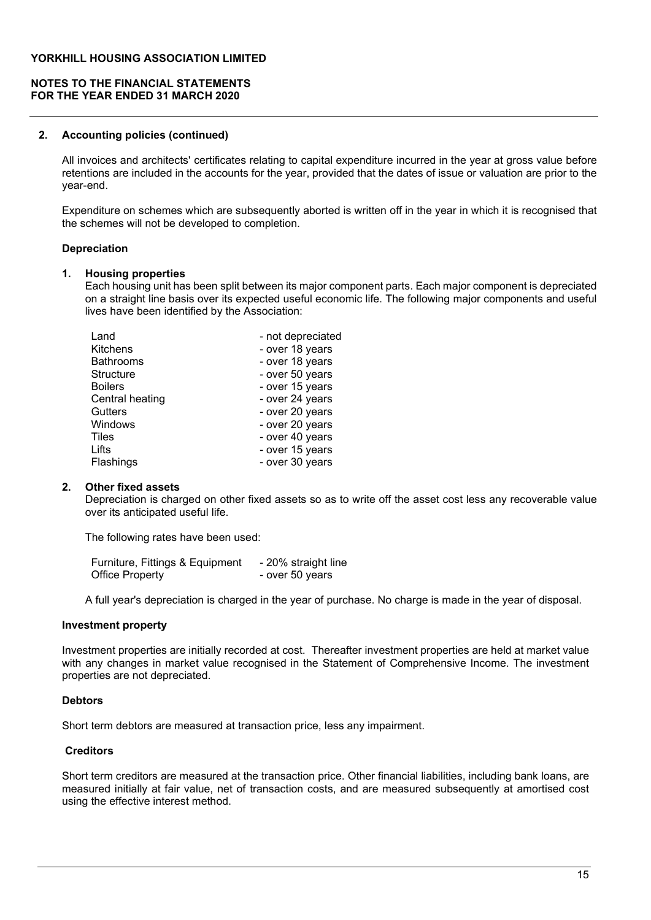## NOTES TO THE FINANCIAL STATEMENTS FOR THE YEAR ENDED 31 MARCH 2020

### 2. Accounting policies (continued)

All invoices and architects' certificates relating to capital expenditure incurred in the year at gross value before retentions are included in the accounts for the year, provided that the dates of issue or valuation are prior to the year-end.

Expenditure on schemes which are subsequently aborted is written off in the year in which it is recognised that the schemes will not be developed to completion.

### Depreciation

#### 1. Housing properties

Each housing unit has been split between its major component parts. Each major component is depreciated on a straight line basis over its expected useful economic life. The following major components and useful lives have been identified by the Association:

| Land             | - not depreciated |
|------------------|-------------------|
| <b>Kitchens</b>  | - over 18 years   |
| <b>Bathrooms</b> | - over 18 years   |
| <b>Structure</b> | - over 50 years   |
| <b>Boilers</b>   | - over 15 years   |
| Central heating  | - over 24 years   |
| <b>Gutters</b>   | - over 20 years   |
| Windows          | - over 20 years   |
| Tiles            | - over 40 years   |
| Lifts            | - over 15 years   |
| Flashings        | - over 30 years   |

### 2. Other fixed assets

Depreciation is charged on other fixed assets so as to write off the asset cost less any recoverable value over its anticipated useful life.

The following rates have been used:

| Furniture, Fittings & Equipment | - 20% straight line |
|---------------------------------|---------------------|
| <b>Office Property</b>          | - over 50 years     |

A full year's depreciation is charged in the year of purchase. No charge is made in the year of disposal.

### Investment property

Investment properties are initially recorded at cost. Thereafter investment properties are held at market value with any changes in market value recognised in the Statement of Comprehensive Income. The investment properties are not depreciated.

### **Debtors**

Short term debtors are measured at transaction price, less any impairment.

### **Creditors**

Short term creditors are measured at the transaction price. Other financial liabilities, including bank loans, are measured initially at fair value, net of transaction costs, and are measured subsequently at amortised cost using the effective interest method.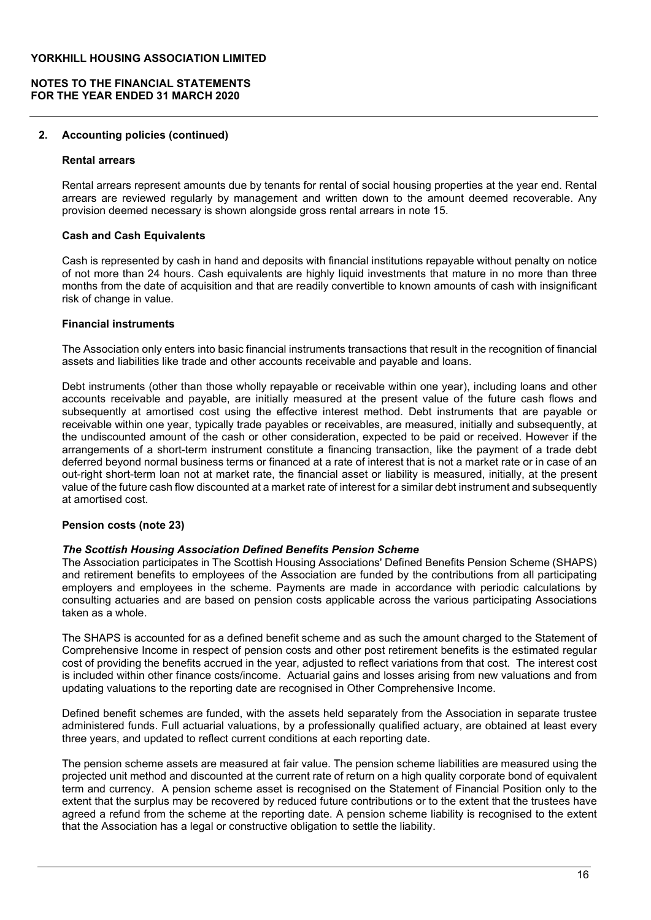# NOTES TO THE FINANCIAL STATEMENTS FOR THE YEAR ENDED 31 MARCH 2020

### 2. Accounting policies (continued)

### Rental arrears

Rental arrears represent amounts due by tenants for rental of social housing properties at the year end. Rental arrears are reviewed regularly by management and written down to the amount deemed recoverable. Any provision deemed necessary is shown alongside gross rental arrears in note 15.

### **Cash and Cash Equivalents**

Cash is represented by cash in hand and deposits with financial institutions repayable without penalty on notice of not more than 24 hours. Cash equivalents are highly liquid investments that mature in no more than three months from the date of acquisition and that are readily convertible to known amounts of cash with insignificant risk of change in value.

# Financial instruments

The Association only enters into basic financial instruments transactions that result in the recognition of financial assets and liabilities like trade and other accounts receivable and payable and loans.

Debt instruments (other than those wholly repayable or receivable within one year), including loans and other accounts receivable and payable, are initially measured at the present value of the future cash flows and subsequently at amortised cost using the effective interest method. Debt instruments that are payable or receivable within one year, typically trade payables or receivables, are measured, initially and subsequently, at the undiscounted amount of the cash or other consideration, expected to be paid or received. However if the arrangements of a short-term instrument constitute a financing transaction, like the payment of a trade debt deferred beyond normal business terms or financed at a rate of interest that is not a market rate or in case of an out-right short-term loan not at market rate, the financial asset or liability is measured, initially, at the present value of the future cash flow discounted at a market rate of interest for a similar debt instrument and subsequently at amortised cost.

# Pension costs (note 23)

### The Scottish Housing Association Defined Benefits Pension Scheme

The Association participates in The Scottish Housing Associations' Defined Benefits Pension Scheme (SHAPS) and retirement benefits to employees of the Association are funded by the contributions from all participating employers and employees in the scheme. Payments are made in accordance with periodic calculations by consulting actuaries and are based on pension costs applicable across the various participating Associations taken as a whole.

The SHAPS is accounted for as a defined benefit scheme and as such the amount charged to the Statement of Comprehensive Income in respect of pension costs and other post retirement benefits is the estimated regular cost of providing the benefits accrued in the year, adjusted to reflect variations from that cost. The interest cost is included within other finance costs/income. Actuarial gains and losses arising from new valuations and from updating valuations to the reporting date are recognised in Other Comprehensive Income.

Defined benefit schemes are funded, with the assets held separately from the Association in separate trustee administered funds. Full actuarial valuations, by a professionally qualified actuary, are obtained at least every three years, and updated to reflect current conditions at each reporting date.

The pension scheme assets are measured at fair value. The pension scheme liabilities are measured using the projected unit method and discounted at the current rate of return on a high quality corporate bond of equivalent term and currency. A pension scheme asset is recognised on the Statement of Financial Position only to the extent that the surplus may be recovered by reduced future contributions or to the extent that the trustees have agreed a refund from the scheme at the reporting date. A pension scheme liability is recognised to the extent that the Association has a legal or constructive obligation to settle the liability.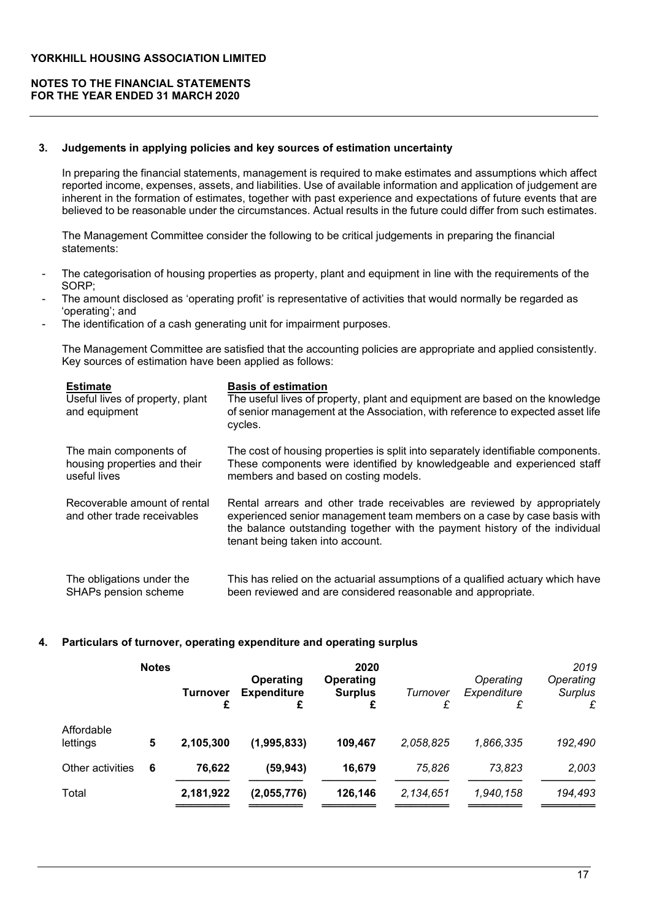# NOTES TO THE FINANCIAL STATEMENTS FOR THE YEAR ENDED 31 MARCH 2020

## 3. Judgements in applying policies and key sources of estimation uncertainty

In preparing the financial statements, management is required to make estimates and assumptions which affect reported income, expenses, assets, and liabilities. Use of available information and application of judgement are inherent in the formation of estimates, together with past experience and expectations of future events that are believed to be reasonable under the circumstances. Actual results in the future could differ from such estimates.

The Management Committee consider the following to be critical judgements in preparing the financial statements:

- The categorisation of housing properties as property, plant and equipment in line with the requirements of the SORP;
- The amount disclosed as 'operating profit' is representative of activities that would normally be regarded as 'operating'; and
- The identification of a cash generating unit for impairment purposes.

The Management Committee are satisfied that the accounting policies are appropriate and applied consistently. Key sources of estimation have been applied as follows:

| <b>Estimate</b><br>Useful lives of property, plant<br>and equipment | <b>Basis of estimation</b><br>The useful lives of property, plant and equipment are based on the knowledge<br>of senior management at the Association, with reference to expected asset life<br>cycles.                                                                |
|---------------------------------------------------------------------|------------------------------------------------------------------------------------------------------------------------------------------------------------------------------------------------------------------------------------------------------------------------|
| The main components of                                              | The cost of housing properties is split into separately identifiable components.                                                                                                                                                                                       |
| housing properties and their                                        | These components were identified by knowledgeable and experienced staff                                                                                                                                                                                                |
| useful lives                                                        | members and based on costing models.                                                                                                                                                                                                                                   |
| Recoverable amount of rental<br>and other trade receivables         | Rental arrears and other trade receivables are reviewed by appropriately<br>experienced senior management team members on a case by case basis with<br>the balance outstanding together with the payment history of the individual<br>tenant being taken into account. |
| The obligations under the                                           | This has relied on the actuarial assumptions of a qualified actuary which have                                                                                                                                                                                         |
| SHAPs pension scheme                                                | been reviewed and are considered reasonable and appropriate.                                                                                                                                                                                                           |

# 4. Particulars of turnover, operating expenditure and operating surplus

|                        | <b>Notes</b> | <b>Turnover</b> | Operating<br><b>Expenditure</b><br>£ | 2020<br><b>Operating</b><br><b>Surplus</b><br>£ | Turnover<br>£ | Operating<br>Expenditure<br>£ | 2019<br>Operating<br>Surplus<br>£ |
|------------------------|--------------|-----------------|--------------------------------------|-------------------------------------------------|---------------|-------------------------------|-----------------------------------|
| Affordable<br>lettings | 5            | 2,105,300       | (1,995,833)                          | 109,467                                         | 2,058,825     | 1,866,335                     | 192,490                           |
| Other activities       | 6            | 76,622          | (59, 943)                            | 16,679                                          | 75.826        | 73.823                        | 2,003                             |
| Total                  |              | 2,181,922       | (2,055,776)                          | 126,146                                         | 2,134,651     | 1,940,158                     | 194,493                           |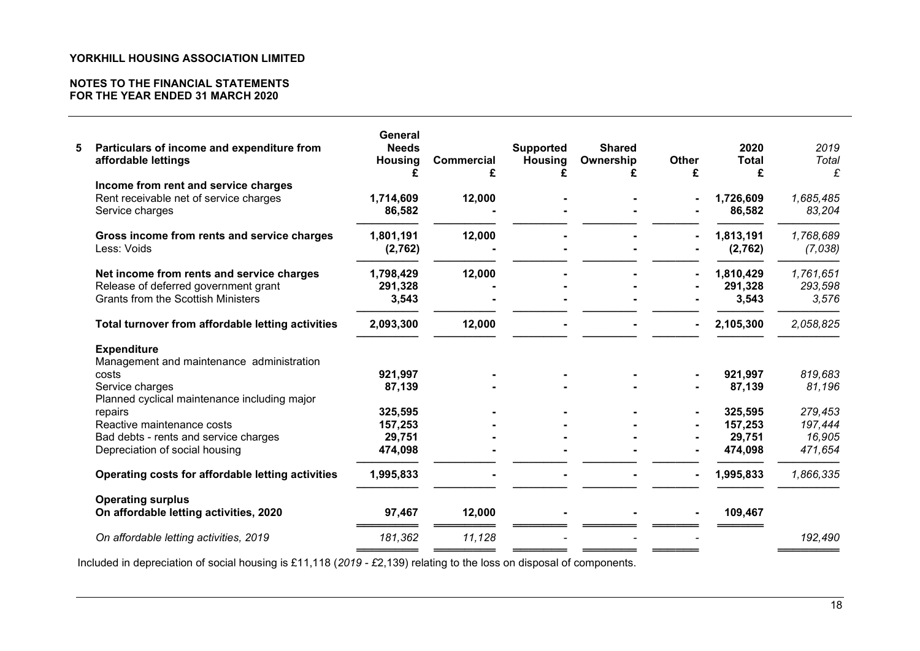# NOTES TO THE FINANCIAL STATEMENTS FOR THE YEAR ENDED 31 MARCH 2020

| 5 | Particulars of income and expenditure from<br>affordable lettings | General<br><b>Needs</b><br><b>Housing</b><br>£ | <b>Commercial</b><br>£ | <b>Supported</b><br><b>Housing</b> | <b>Shared</b><br>Ownership | <b>Other</b><br>£ | 2020<br>Total<br>£  | 2019<br>Total<br>£  |
|---|-------------------------------------------------------------------|------------------------------------------------|------------------------|------------------------------------|----------------------------|-------------------|---------------------|---------------------|
|   | Income from rent and service charges                              |                                                |                        |                                    |                            |                   |                     |                     |
|   | Rent receivable net of service charges<br>Service charges         | 1,714,609<br>86,582                            | 12,000                 |                                    |                            |                   | 1,726,609<br>86,582 | 1,685,485<br>83,204 |
|   | Gross income from rents and service charges                       | 1,801,191                                      | 12,000                 |                                    |                            | $\blacksquare$    | 1,813,191           | 1,768,689           |
|   | Less: Voids                                                       | (2,762)                                        |                        |                                    |                            |                   | (2,762)             | (7,038)             |
|   | Net income from rents and service charges                         | 1,798,429                                      | 12,000                 |                                    |                            |                   | 1,810,429           | 1,761,651           |
|   | Release of deferred government grant                              | 291,328                                        |                        |                                    |                            |                   | 291,328             | 293,598             |
|   | <b>Grants from the Scottish Ministers</b>                         | 3,543                                          |                        |                                    |                            |                   | 3,543               | 3,576               |
|   | Total turnover from affordable letting activities                 | 2,093,300                                      | 12,000                 |                                    |                            | $\blacksquare$    | 2,105,300           | 2,058,825           |
|   | <b>Expenditure</b>                                                |                                                |                        |                                    |                            |                   |                     |                     |
|   | Management and maintenance administration                         |                                                |                        |                                    |                            |                   |                     |                     |
|   | costs                                                             | 921,997                                        |                        |                                    |                            |                   | 921,997             | 819,683             |
|   | Service charges                                                   | 87,139                                         |                        |                                    |                            |                   | 87,139              | 81,196              |
|   | Planned cyclical maintenance including major                      |                                                |                        |                                    |                            |                   |                     |                     |
|   | repairs                                                           | 325,595                                        |                        |                                    |                            |                   | 325,595             | 279,453             |
|   | Reactive maintenance costs                                        | 157,253                                        |                        |                                    |                            |                   | 157,253             | 197,444             |
|   | Bad debts - rents and service charges                             | 29,751                                         |                        |                                    |                            |                   | 29,751              | 16,905              |
|   | Depreciation of social housing                                    | 474,098                                        |                        |                                    |                            |                   | 474,098             | 471,654             |
|   | Operating costs for affordable letting activities                 | 1,995,833                                      |                        |                                    |                            |                   | 1,995,833           | 1,866,335           |
|   | <b>Operating surplus</b>                                          |                                                |                        |                                    |                            |                   |                     |                     |
|   | On affordable letting activities, 2020                            | 97,467                                         | 12,000                 |                                    |                            |                   | 109,467             |                     |
|   | On affordable letting activities, 2019                            | 181,362                                        | 11,128                 |                                    |                            |                   |                     | 192,490             |

Included in depreciation of social housing is £11,118 (*2019 - £*2,139) relating to the loss on disposal of components.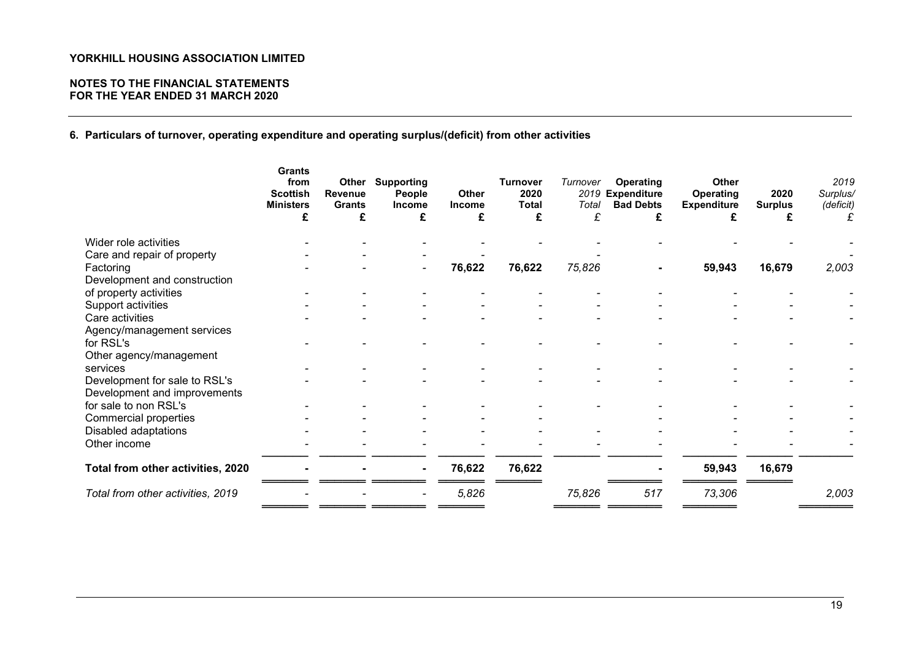# NOTES TO THE FINANCIAL STATEMENTS FOR THE YEAR ENDED 31 MARCH 2020

6. Particulars of turnover, operating expenditure and operating surplus/(deficit) from other activities

|                                                               | <b>Grants</b><br>from<br><b>Scottish</b><br><b>Ministers</b><br>£ | Other<br>Revenue<br><b>Grants</b><br>£ | <b>Supporting</b><br>People<br><b>Income</b><br>£ | Other<br><b>Income</b><br>£ | <b>Turnover</b><br>2020<br><b>Total</b><br>£ | Turnover<br>2019<br>Total<br>£ | <b>Operating</b><br><b>Expenditure</b><br><b>Bad Debts</b> | <b>Other</b><br>Operating<br><b>Expenditure</b> | 2020<br><b>Surplus</b> | 2019<br>Surplus/<br>(deficit) |
|---------------------------------------------------------------|-------------------------------------------------------------------|----------------------------------------|---------------------------------------------------|-----------------------------|----------------------------------------------|--------------------------------|------------------------------------------------------------|-------------------------------------------------|------------------------|-------------------------------|
| Wider role activities                                         |                                                                   |                                        |                                                   |                             |                                              |                                |                                                            |                                                 |                        |                               |
| Care and repair of property                                   |                                                                   |                                        |                                                   |                             |                                              |                                |                                                            |                                                 |                        |                               |
| Factoring<br>Development and construction                     |                                                                   |                                        |                                                   | 76,622                      | 76,622                                       | 75,826                         |                                                            | 59,943                                          | 16,679                 | 2,003                         |
| of property activities                                        |                                                                   |                                        |                                                   |                             |                                              |                                |                                                            |                                                 |                        |                               |
| Support activities                                            |                                                                   |                                        |                                                   |                             |                                              |                                |                                                            |                                                 |                        |                               |
| Care activities<br>Agency/management services                 |                                                                   |                                        |                                                   |                             |                                              |                                |                                                            |                                                 |                        |                               |
| for RSL's<br>Other agency/management                          |                                                                   |                                        |                                                   |                             |                                              |                                |                                                            |                                                 |                        |                               |
| services                                                      |                                                                   |                                        |                                                   |                             |                                              |                                |                                                            |                                                 |                        |                               |
| Development for sale to RSL's<br>Development and improvements |                                                                   |                                        |                                                   |                             |                                              |                                |                                                            |                                                 |                        |                               |
| for sale to non RSL's                                         |                                                                   |                                        |                                                   |                             |                                              |                                |                                                            |                                                 |                        |                               |
| Commercial properties                                         |                                                                   |                                        |                                                   |                             |                                              |                                |                                                            |                                                 |                        |                               |
| Disabled adaptations                                          |                                                                   |                                        |                                                   |                             |                                              |                                |                                                            |                                                 |                        |                               |
| Other income                                                  |                                                                   |                                        |                                                   |                             |                                              |                                |                                                            |                                                 |                        |                               |
| Total from other activities, 2020                             |                                                                   |                                        | ۰                                                 | 76,622                      | 76,622                                       |                                |                                                            | 59,943                                          | 16,679                 |                               |
| Total from other activities, 2019                             |                                                                   |                                        |                                                   | 5,826                       |                                              | 75,826                         | 517                                                        | 73,306                                          |                        | 2,003                         |
|                                                               |                                                                   |                                        |                                                   |                             |                                              |                                |                                                            |                                                 |                        |                               |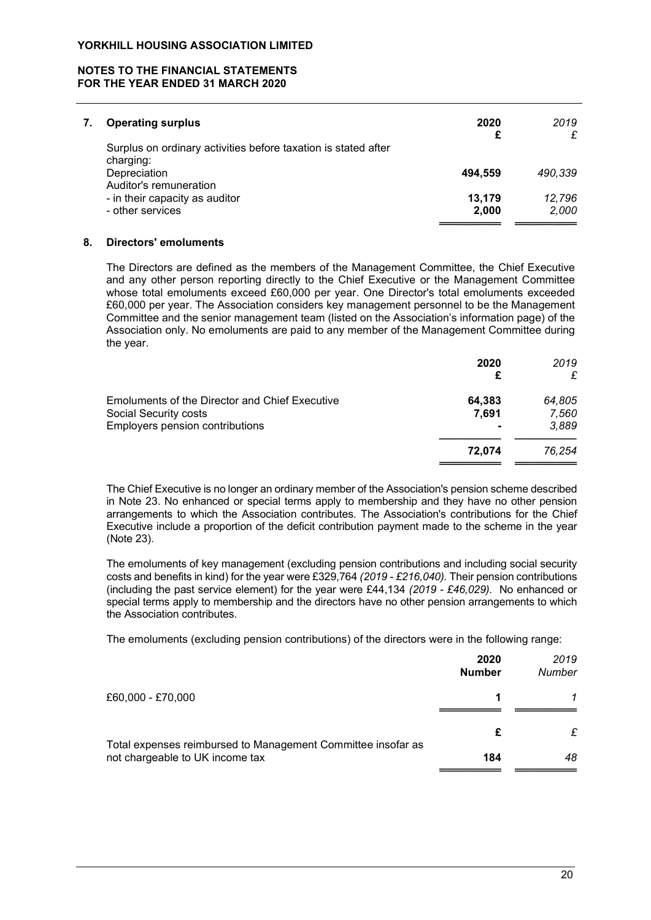# NOTES TO THE FINANCIAL STATEMENTS FOR THE YEAR ENDED 31 MARCH 2020

| <b>Operating surplus</b>                                                     | 2020<br>£       | 2019<br>£       |
|------------------------------------------------------------------------------|-----------------|-----------------|
| Surplus on ordinary activities before taxation is stated after<br>charging:  |                 |                 |
| Depreciation                                                                 | 494.559         | 490.339         |
| Auditor's remuneration<br>- in their capacity as auditor<br>- other services | 13,179<br>2,000 | 12.796<br>2,000 |
|                                                                              |                 |                 |

## 8. Directors' emoluments

The Directors are defined as the members of the Management Committee, the Chief Executive and any other person reporting directly to the Chief Executive or the Management Committee whose total emoluments exceed £60,000 per year. One Director's total emoluments exceeded £60,000 per year. The Association considers key management personnel to be the Management Committee and the senior management team (listed on the Association's information page) of the Association only. No emoluments are paid to any member of the Management Committee during the year.

|                                                                                | 2020            | 2019<br>£       |
|--------------------------------------------------------------------------------|-----------------|-----------------|
| <b>Emoluments of the Director and Chief Executive</b><br>Social Security costs | 64,383<br>7,691 | 64,805<br>7,560 |
| Employers pension contributions                                                |                 | 3,889           |
|                                                                                | 72.074          | 76.254          |
|                                                                                |                 |                 |

 The Chief Executive is no longer an ordinary member of the Association's pension scheme described in Note 23. No enhanced or special terms apply to membership and they have no other pension arrangements to which the Association contributes. The Association's contributions for the Chief Executive include a proportion of the deficit contribution payment made to the scheme in the year (Note 23).

 The emoluments of key management (excluding pension contributions and including social security costs and benefits in kind) for the year were £329,764 (2019 - £216,040). Their pension contributions (including the past service element) for the year were £44,134 (2019 - £46,029). No enhanced or special terms apply to membership and the directors have no other pension arrangements to which the Association contributes.

The emoluments (excluding pension contributions) of the directors were in the following range:

|                                                              | 2020<br><b>Number</b> | 2019<br>Number |
|--------------------------------------------------------------|-----------------------|----------------|
| £60,000 - £70,000                                            | 1                     |                |
| Total expenses reimbursed to Management Committee insofar as | £                     | £              |
| not chargeable to UK income tax                              | 184                   | 48             |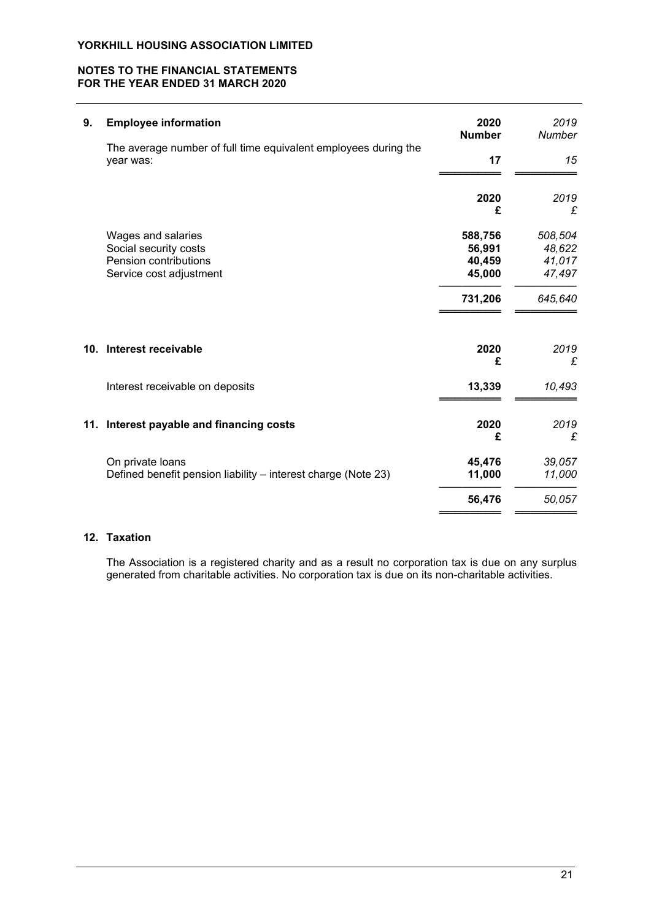# NOTES TO THE FINANCIAL STATEMENTS FOR THE YEAR ENDED 31 MARCH 2020

| 9.  | <b>Employee information</b>                                                                     | 2020<br><b>Number</b>                 | 2019<br>Number                        |
|-----|-------------------------------------------------------------------------------------------------|---------------------------------------|---------------------------------------|
|     | The average number of full time equivalent employees during the<br>year was:                    | 17                                    | 15                                    |
|     |                                                                                                 | 2020<br>£                             | 2019<br>£                             |
|     | Wages and salaries<br>Social security costs<br>Pension contributions<br>Service cost adjustment | 588,756<br>56,991<br>40,459<br>45,000 | 508,504<br>48,622<br>41,017<br>47,497 |
|     |                                                                                                 | 731,206                               | 645,640                               |
| 10. | Interest receivable                                                                             | 2020<br>£                             | 2019<br>£                             |
|     | Interest receivable on deposits                                                                 | 13,339                                | 10,493                                |
| 11. | Interest payable and financing costs                                                            | 2020<br>£                             | 2019<br>£                             |
|     | On private loans<br>Defined benefit pension liability – interest charge (Note 23)               | 45,476<br>11,000                      | 39,057<br>11,000                      |
|     |                                                                                                 | 56,476                                | 50,057                                |

# 12. Taxation

 The Association is a registered charity and as a result no corporation tax is due on any surplus generated from charitable activities. No corporation tax is due on its non-charitable activities.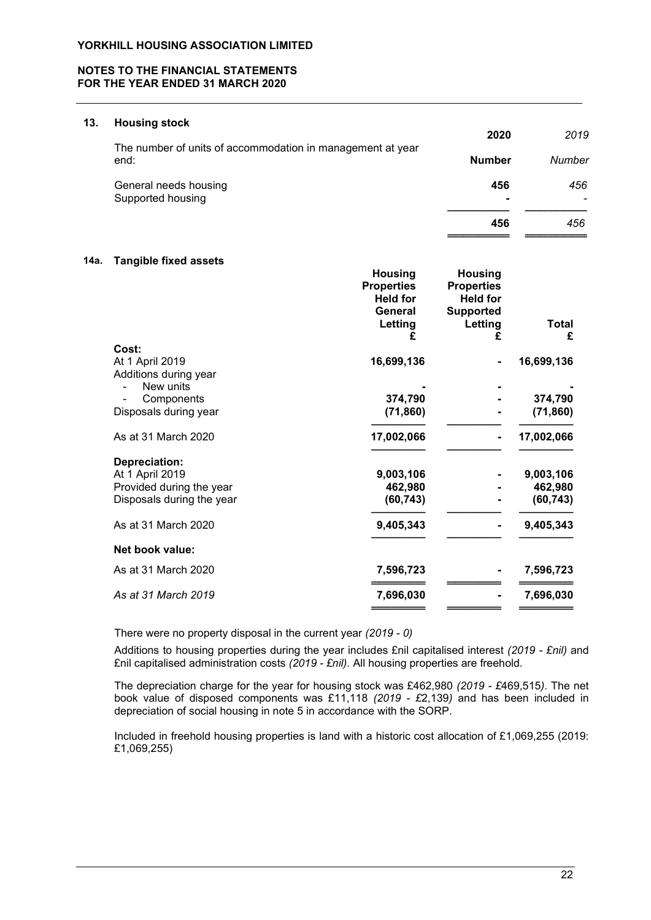# NOTES TO THE FINANCIAL STATEMENTS FOR THE YEAR ENDED 31 MARCH 2020

### 13. Housing stock

|                                                                    | 2020          | 2019   |
|--------------------------------------------------------------------|---------------|--------|
| The number of units of accommodation in management at year<br>end: | <b>Number</b> | Number |
| General needs housing<br>Supported housing                         | 456           | 456    |
|                                                                    | 456           | 456    |

### 14a. Tangible fixed assets

|                                    | <b>Housing</b><br><b>Properties</b><br><b>Held for</b><br>General | <b>Housing</b><br><b>Properties</b><br><b>Held for</b><br><b>Supported</b> |              |
|------------------------------------|-------------------------------------------------------------------|----------------------------------------------------------------------------|--------------|
|                                    | Letting                                                           | Letting                                                                    | <b>Total</b> |
| Cost:                              | £                                                                 | £                                                                          | £            |
| At 1 April 2019                    | 16,699,136                                                        |                                                                            | 16,699,136   |
| Additions during year<br>New units |                                                                   |                                                                            |              |
| Components                         | 374,790                                                           |                                                                            | 374,790      |
| Disposals during year              | (71, 860)                                                         |                                                                            | (71, 860)    |
| As at 31 March 2020                | 17,002,066                                                        |                                                                            | 17,002,066   |
| Depreciation:                      |                                                                   |                                                                            |              |
| At 1 April 2019                    | 9,003,106                                                         |                                                                            | 9,003,106    |
| Provided during the year           | 462,980                                                           |                                                                            | 462,980      |
| Disposals during the year          | (60, 743)                                                         |                                                                            | (60, 743)    |
| As at 31 March 2020                | 9,405,343                                                         |                                                                            | 9,405,343    |
| Net book value:                    |                                                                   |                                                                            |              |
| As at 31 March 2020                | 7,596,723                                                         |                                                                            | 7,596,723    |
| As at 31 March 2019                | 7,696,030                                                         |                                                                            | 7,696,030    |
|                                    |                                                                   |                                                                            |              |

There were no property disposal in the current year (2019 - 0)

Additions to housing properties during the year includes £nil capitalised interest (2019 - £nil) and £nil capitalised administration costs (2019 - £nil). All housing properties are freehold.

The depreciation charge for the year for housing stock was £462,980 (2019 - £469,515). The net book value of disposed components was £11,118 (2019 - £2,139) and has been included in depreciation of social housing in note 5 in accordance with the SORP.

Included in freehold housing properties is land with a historic cost allocation of £1,069,255 (2019: £1,069,255)

═════════════════════════════════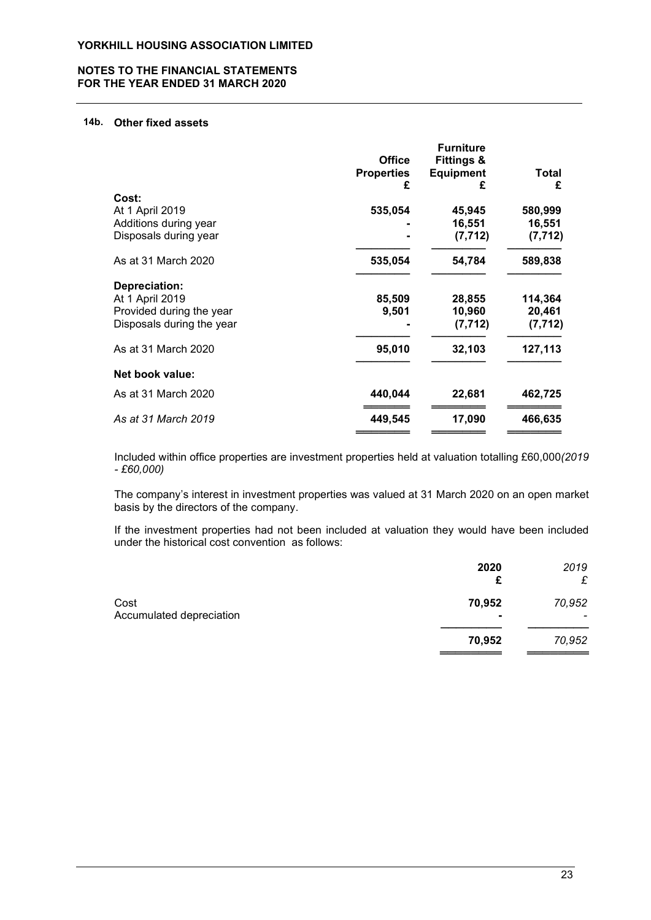# NOTES TO THE FINANCIAL STATEMENTS FOR THE YEAR ENDED 31 MARCH 2020

### 14b. Other fixed assets

|                           | <b>Office</b>     | <b>Furniture</b><br><b>Fittings &amp;</b> |          |
|---------------------------|-------------------|-------------------------------------------|----------|
|                           | <b>Properties</b> | <b>Equipment</b>                          | Total    |
| Cost:                     | £                 |                                           | £        |
| At 1 April 2019           | 535,054           | 45,945                                    | 580,999  |
| Additions during year     |                   | 16,551                                    | 16,551   |
| Disposals during year     |                   | (7, 712)                                  | (7, 712) |
| As at 31 March 2020       | 535,054           | 54,784                                    | 589,838  |
| Depreciation:             |                   |                                           |          |
| At 1 April 2019           | 85,509            | 28,855                                    | 114,364  |
| Provided during the year  | 9,501             | 10,960                                    | 20,461   |
| Disposals during the year |                   | (7, 712)                                  | (7, 712) |
| As at 31 March 2020       | 95,010            | 32,103                                    | 127,113  |
| Net book value:           |                   |                                           |          |
| As at 31 March 2020       | 440,044           | 22,681                                    | 462,725  |
| As at 31 March 2019       | 449,545           | 17,090                                    | 466,635  |
|                           |                   |                                           |          |

Included within office properties are investment properties held at valuation totalling £60,000(2019 - £60,000)

The company's interest in investment properties was valued at 31 March 2020 on an open market basis by the directors of the company.

If the investment properties had not been included at valuation they would have been included under the historical cost convention as follows:

|                                  | 2020<br>£ | 2019<br>£ |
|----------------------------------|-----------|-----------|
| Cost<br>Accumulated depreciation | 70,952    | 70,952    |
|                                  | 70,952    | 70,952    |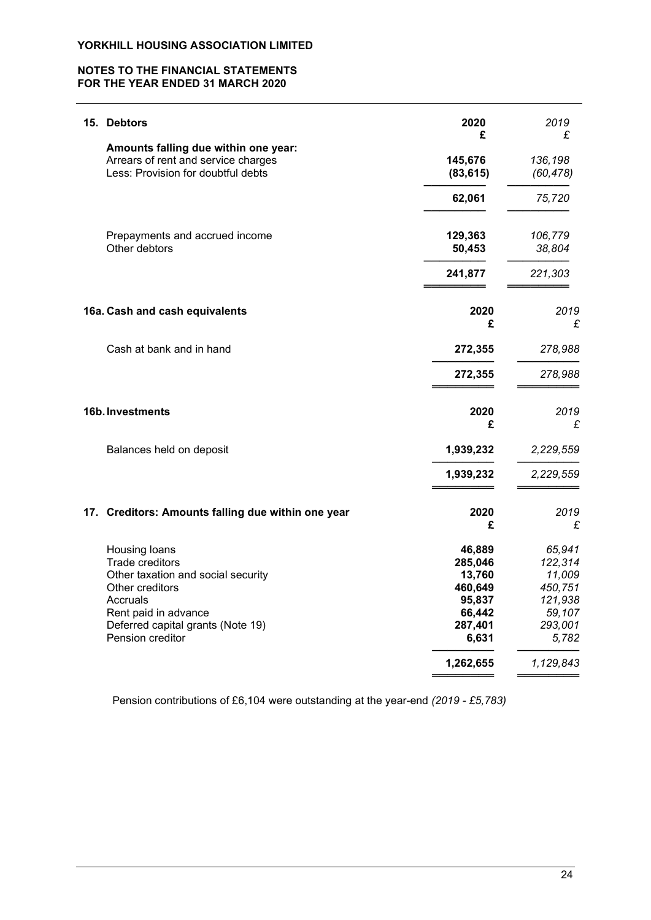# NOTES TO THE FINANCIAL STATEMENTS FOR THE YEAR ENDED 31 MARCH 2020

| 15. Debtors                                                                                                                                                                            | 2020<br>£                                                                                   | 2019<br>£                                                                                    |
|----------------------------------------------------------------------------------------------------------------------------------------------------------------------------------------|---------------------------------------------------------------------------------------------|----------------------------------------------------------------------------------------------|
| Amounts falling due within one year:<br>Arrears of rent and service charges<br>Less: Provision for doubtful debts                                                                      | 145,676<br>(83, 615)                                                                        | 136,198<br>(60, 478)                                                                         |
|                                                                                                                                                                                        | 62,061                                                                                      | 75,720                                                                                       |
| Prepayments and accrued income<br>Other debtors                                                                                                                                        | 129,363<br>50,453                                                                           | 106,779<br>38,804                                                                            |
|                                                                                                                                                                                        | 241,877                                                                                     | 221,303                                                                                      |
| 16a. Cash and cash equivalents                                                                                                                                                         | 2020<br>£                                                                                   | 2019<br>£                                                                                    |
| Cash at bank and in hand                                                                                                                                                               | 272,355                                                                                     | 278,988                                                                                      |
|                                                                                                                                                                                        | 272,355                                                                                     | 278,988                                                                                      |
| 16b. Investments                                                                                                                                                                       | 2020<br>£                                                                                   | 2019<br>£                                                                                    |
| Balances held on deposit                                                                                                                                                               | 1,939,232                                                                                   | 2,229,559                                                                                    |
|                                                                                                                                                                                        | 1,939,232                                                                                   | 2,229,559                                                                                    |
| 17. Creditors: Amounts falling due within one year                                                                                                                                     | 2020<br>£                                                                                   | 2019<br>£                                                                                    |
| Housing loans<br>Trade creditors<br>Other taxation and social security<br>Other creditors<br>Accruals<br>Rent paid in advance<br>Deferred capital grants (Note 19)<br>Pension creditor | 46,889<br>285,046<br>13,760<br>460,649<br>95,837<br>66,442<br>287,401<br>6,631<br>1,262,655 | 65,941<br>122,314<br>11,009<br>450,751<br>121,938<br>59,107<br>293,001<br>5,782<br>1,129,843 |
|                                                                                                                                                                                        |                                                                                             |                                                                                              |

Pension contributions of £6,104 were outstanding at the year-end (2019 - £5,783)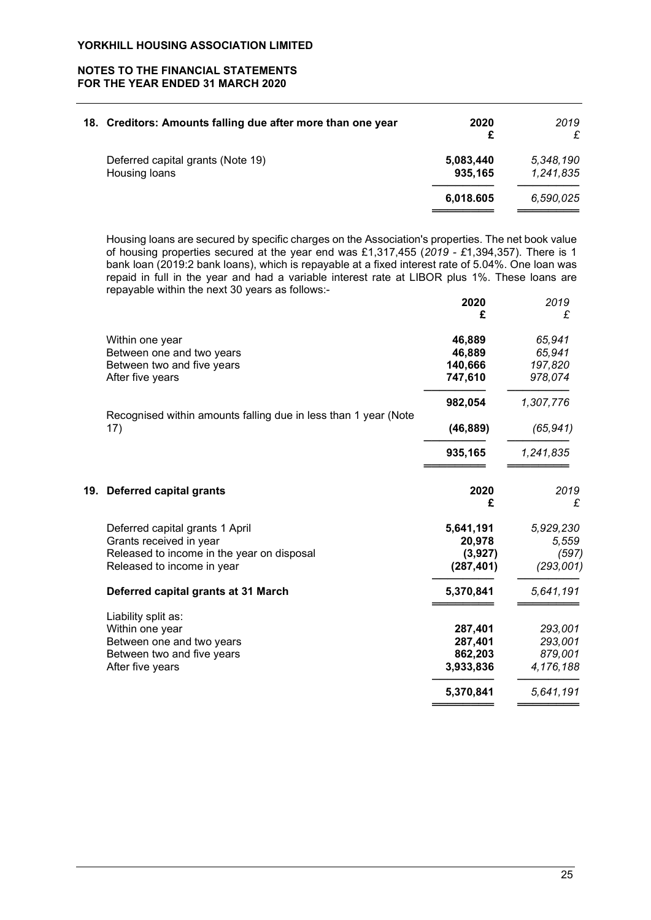# NOTES TO THE FINANCIAL STATEMENTS FOR THE YEAR ENDED 31 MARCH 2020

| 18. Creditors: Amounts falling due after more than one year | 2020<br>£            | 2019<br>£              |
|-------------------------------------------------------------|----------------------|------------------------|
| Deferred capital grants (Note 19)<br>Housing loans          | 5,083,440<br>935,165 | 5,348,190<br>1,241,835 |
|                                                             | 6,018.605            | 6,590,025              |

Housing loans are secured by specific charges on the Association's properties. The net book value of housing properties secured at the year end was £1,317,455 (2019 - £1,394,357). There is 1 bank loan (2019:2 bank loans), which is repayable at a fixed interest rate of 5.04%. One loan was repaid in full in the year and had a variable interest rate at LIBOR plus 1%. These loans are repayable within the next 30 years as follows:-

|                                                                 | 2020       | 2019      |
|-----------------------------------------------------------------|------------|-----------|
|                                                                 |            | £         |
| Within one year                                                 | 46,889     | 65,941    |
| Between one and two years                                       | 46,889     | 65,941    |
| Between two and five years                                      | 140,666    | 197,820   |
| After five years                                                | 747,610    | 978,074   |
|                                                                 | 982,054    | 1,307,776 |
| Recognised within amounts falling due in less than 1 year (Note |            |           |
| 17)                                                             | (46, 889)  | (65, 941) |
|                                                                 | 935,165    | 1,241,835 |
| 19. Deferred capital grants                                     | 2020<br>£  | 2019<br>£ |
| Deferred capital grants 1 April                                 | 5,641,191  | 5,929,230 |
| Grants received in year                                         | 20,978     | 5,559     |
| Released to income in the year on disposal                      | (3,927)    | (597)     |
| Released to income in year                                      | (287, 401) | (293,001) |
| Deferred capital grants at 31 March                             | 5,370,841  | 5,641,191 |
| Liability split as:                                             |            |           |
| Within one year                                                 | 287,401    | 293,001   |
| Between one and two years                                       | 287,401    | 293,001   |
| Between two and five years                                      | 862,203    | 879,001   |
| After five years                                                | 3,933,836  | 4,176,188 |
|                                                                 | 5,370,841  | 5,641,191 |
|                                                                 |            |           |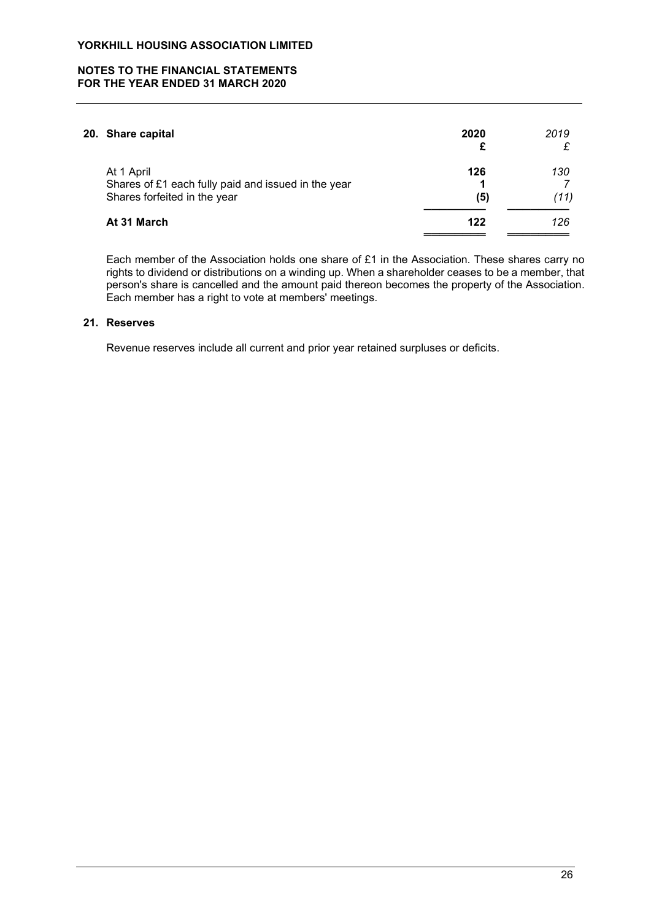# NOTES TO THE FINANCIAL STATEMENTS FOR THE YEAR ENDED 31 MARCH 2020

| 20. Share capital                                                                                 | 2020       | 2019        |
|---------------------------------------------------------------------------------------------------|------------|-------------|
| At 1 April<br>Shares of £1 each fully paid and issued in the year<br>Shares forfeited in the year | 126<br>(5) | 130<br>(11) |
| At 31 March                                                                                       | 122        | 126         |
|                                                                                                   |            |             |

Each member of the Association holds one share of £1 in the Association. These shares carry no rights to dividend or distributions on a winding up. When a shareholder ceases to be a member, that person's share is cancelled and the amount paid thereon becomes the property of the Association. Each member has a right to vote at members' meetings.

# 21. Reserves

Revenue reserves include all current and prior year retained surpluses or deficits.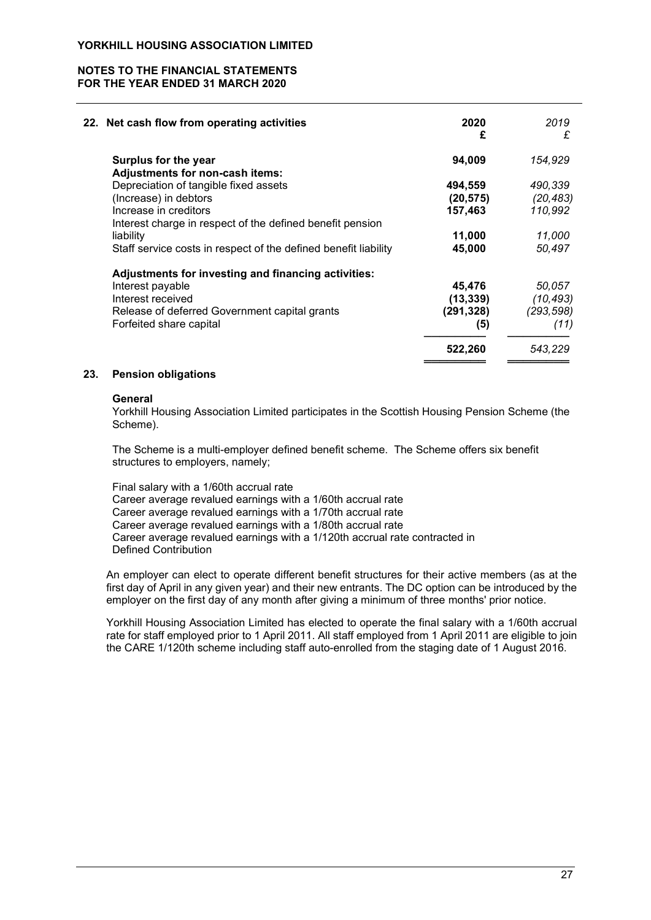# NOTES TO THE FINANCIAL STATEMENTS FOR THE YEAR ENDED 31 MARCH 2020

| 22. Net cash flow from operating activities                     | 2020<br>£ | 2019<br>£  |
|-----------------------------------------------------------------|-----------|------------|
| Surplus for the year                                            | 94,009    | 154,929    |
| Adjustments for non-cash items:                                 |           |            |
| Depreciation of tangible fixed assets                           | 494,559   | 490,339    |
| (Increase) in debtors                                           | (20, 575) | (20, 483)  |
| Increase in creditors                                           | 157,463   | 110,992    |
| Interest charge in respect of the defined benefit pension       |           |            |
| liability                                                       | 11,000    | 11,000     |
| Staff service costs in respect of the defined benefit liability | 45,000    | 50,497     |
| Adjustments for investing and financing activities:             |           |            |
| Interest payable                                                | 45,476    | 50.057     |
| Interest received                                               | (13, 339) | (10, 493)  |
| Release of deferred Government capital grants                   | (291,328) | (293, 598) |
| Forfeited share capital                                         | (5)       | (11)       |
|                                                                 | 522,260   | 543,229    |
|                                                                 |           |            |

## 23. Pension obligations

### **General**

Yorkhill Housing Association Limited participates in the Scottish Housing Pension Scheme (the Scheme).

The Scheme is a multi-employer defined benefit scheme. The Scheme offers six benefit structures to employers, namely;

Final salary with a 1/60th accrual rate Career average revalued earnings with a 1/60th accrual rate Career average revalued earnings with a 1/70th accrual rate Career average revalued earnings with a 1/80th accrual rate Career average revalued earnings with a 1/120th accrual rate contracted in Defined Contribution

An employer can elect to operate different benefit structures for their active members (as at the first day of April in any given year) and their new entrants. The DC option can be introduced by the employer on the first day of any month after giving a minimum of three months' prior notice.

Yorkhill Housing Association Limited has elected to operate the final salary with a 1/60th accrual rate for staff employed prior to 1 April 2011. All staff employed from 1 April 2011 are eligible to join the CARE 1/120th scheme including staff auto-enrolled from the staging date of 1 August 2016.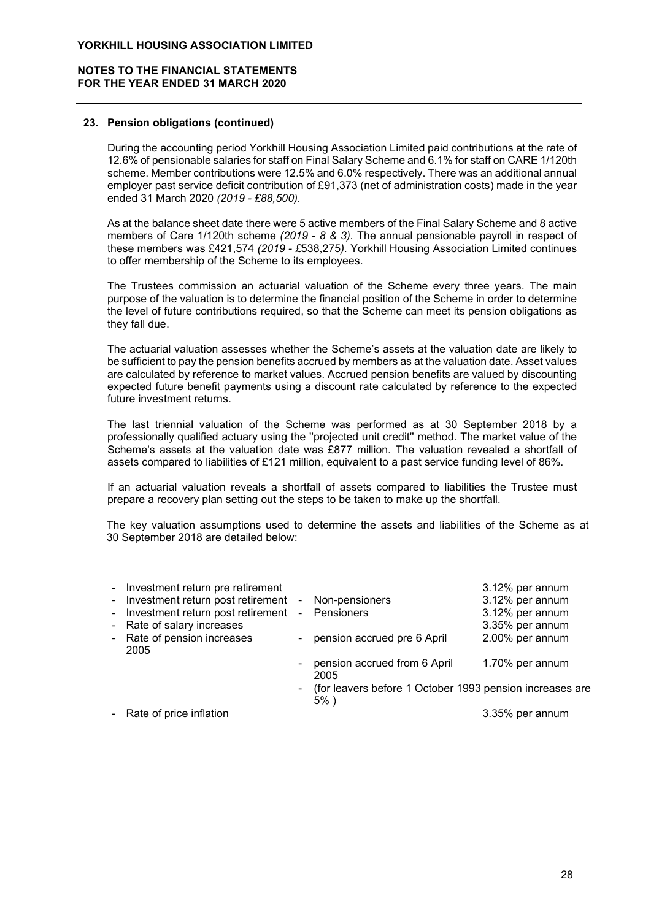# NOTES TO THE FINANCIAL STATEMENTS FOR THE YEAR ENDED 31 MARCH 2020

## 23. Pension obligations (continued)

During the accounting period Yorkhill Housing Association Limited paid contributions at the rate of 12.6% of pensionable salaries for staff on Final Salary Scheme and 6.1% for staff on CARE 1/120th scheme. Member contributions were 12.5% and 6.0% respectively. There was an additional annual employer past service deficit contribution of £91,373 (net of administration costs) made in the year ended 31 March 2020 (2019 - £88,500).

As at the balance sheet date there were 5 active members of the Final Salary Scheme and 8 active members of Care 1/120th scheme (2019 - 8 & 3). The annual pensionable payroll in respect of these members was £421,574 (2019 - £538,275). Yorkhill Housing Association Limited continues to offer membership of the Scheme to its employees.

The Trustees commission an actuarial valuation of the Scheme every three years. The main purpose of the valuation is to determine the financial position of the Scheme in order to determine the level of future contributions required, so that the Scheme can meet its pension obligations as they fall due.

The actuarial valuation assesses whether the Scheme's assets at the valuation date are likely to be sufficient to pay the pension benefits accrued by members as at the valuation date. Asset values are calculated by reference to market values. Accrued pension benefits are valued by discounting expected future benefit payments using a discount rate calculated by reference to the expected future investment returns.

The last triennial valuation of the Scheme was performed as at 30 September 2018 by a professionally qualified actuary using the ''projected unit credit'' method. The market value of the Scheme's assets at the valuation date was £877 million. The valuation revealed a shortfall of assets compared to liabilities of £121 million, equivalent to a past service funding level of 86%.

If an actuarial valuation reveals a shortfall of assets compared to liabilities the Trustee must prepare a recovery plan setting out the steps to be taken to make up the shortfall.

The key valuation assumptions used to determine the assets and liabilities of the Scheme as at 30 September 2018 are detailed below:

| - Investment return pre retirement                   |                |                                                                       | 3.12% per annum |
|------------------------------------------------------|----------------|-----------------------------------------------------------------------|-----------------|
| - Investment return post retirement - Non-pensioners |                |                                                                       | 3.12% per annum |
| - Investment return post retirement                  |                | - Pensioners                                                          | 3.12% per annum |
| - Rate of salary increases                           |                |                                                                       | 3.35% per annum |
| - Rate of pension increases<br>2005                  |                | - pension accrued pre 6 April                                         | 2.00% per annum |
|                                                      | $\blacksquare$ | pension accrued from 6 April<br>2005                                  | 1.70% per annum |
|                                                      |                | - (for leavers before 1 October 1993 pension increases are<br>$5\%$ ) |                 |
| - Rate of price inflation                            |                |                                                                       | 3.35% per annum |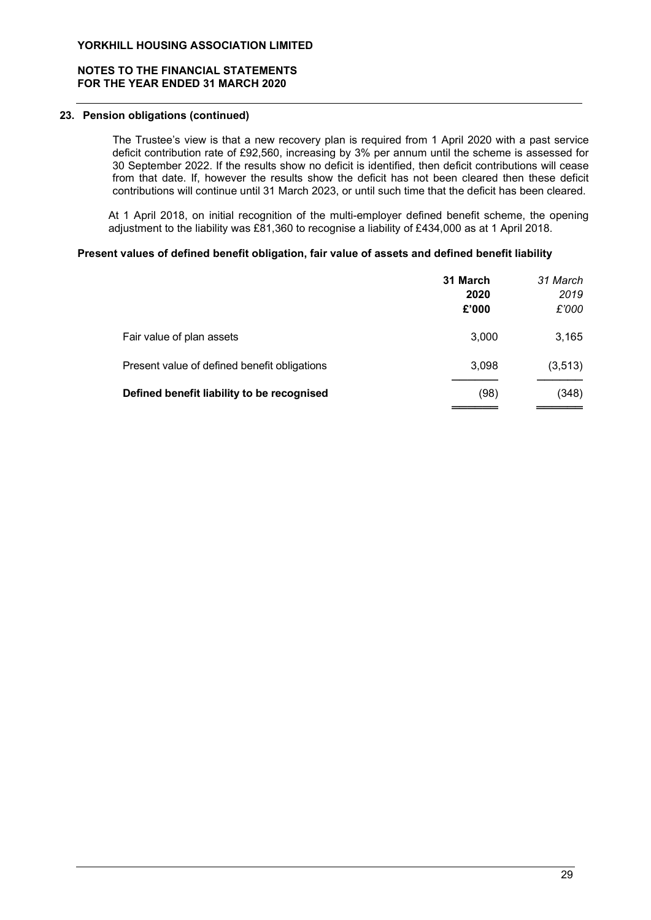# NOTES TO THE FINANCIAL STATEMENTS FOR THE YEAR ENDED 31 MARCH 2020

## 23. Pension obligations (continued)

 The Trustee's view is that a new recovery plan is required from 1 April 2020 with a past service deficit contribution rate of £92,560, increasing by 3% per annum until the scheme is assessed for 30 September 2022. If the results show no deficit is identified, then deficit contributions will cease from that date. If, however the results show the deficit has not been cleared then these deficit contributions will continue until 31 March 2023, or until such time that the deficit has been cleared.

At 1 April 2018, on initial recognition of the multi-employer defined benefit scheme, the opening adjustment to the liability was £81,360 to recognise a liability of £434,000 as at 1 April 2018.

## Present values of defined benefit obligation, fair value of assets and defined benefit liability

|                                              | 31 March<br>2020<br>£'000 | 31 March<br>2019<br>£'000 |
|----------------------------------------------|---------------------------|---------------------------|
| Fair value of plan assets                    | 3,000                     | 3,165                     |
| Present value of defined benefit obligations | 3,098                     | (3, 513)                  |
| Defined benefit liability to be recognised   | (98)                      | (348)                     |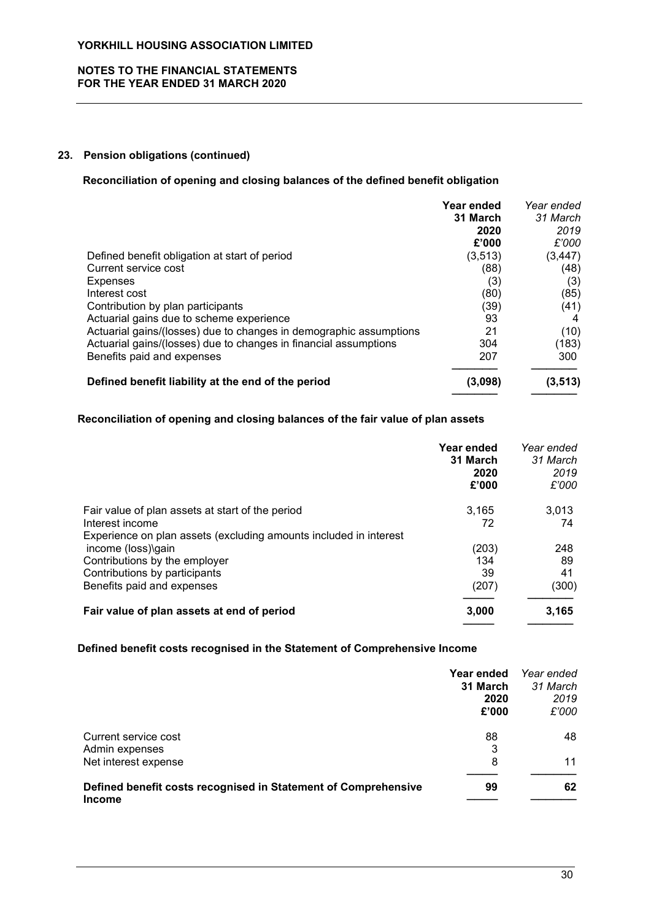# NOTES TO THE FINANCIAL STATEMENTS FOR THE YEAR ENDED 31 MARCH 2020

# 23. Pension obligations (continued)

## Reconciliation of opening and closing balances of the defined benefit obligation

|                                                                    | Year ended | Year ended |
|--------------------------------------------------------------------|------------|------------|
|                                                                    | 31 March   | 31 March   |
|                                                                    | 2020       | 2019       |
|                                                                    | £'000      | £'000      |
| Defined benefit obligation at start of period                      | (3, 513)   | (3, 447)   |
| Current service cost                                               | (88)       | (48)       |
| <b>Expenses</b>                                                    | (3)        | (3)        |
| Interest cost                                                      | (80)       | (85)       |
| Contribution by plan participants                                  | (39)       | (41)       |
| Actuarial gains due to scheme experience                           | 93         |            |
| Actuarial gains/(losses) due to changes in demographic assumptions | 21         | (10)       |
| Actuarial gains/(losses) due to changes in financial assumptions   | 304        | (183)      |
| Benefits paid and expenses                                         | 207        | 300        |
| Defined benefit liability at the end of the period                 | (3,098)    | (3, 513)   |

# Reconciliation of opening and closing balances of the fair value of plan assets

|                                                                   | Year ended<br>31 March<br>2020<br>£'000 | Year ended<br>31 March<br>2019<br>£'000 |
|-------------------------------------------------------------------|-----------------------------------------|-----------------------------------------|
| Fair value of plan assets at start of the period                  | 3,165                                   | 3,013                                   |
| Interest income                                                   | 72                                      | 74                                      |
| Experience on plan assets (excluding amounts included in interest |                                         |                                         |
| income (loss)\gain                                                | (203)                                   | 248                                     |
| Contributions by the employer                                     | 134                                     | 89                                      |
| Contributions by participants                                     | 39                                      | 41                                      |
| Benefits paid and expenses                                        | (207)                                   | (300)                                   |
| Fair value of plan assets at end of period                        | 3,000                                   | 3,165                                   |
|                                                                   |                                         |                                         |

## Defined benefit costs recognised in the Statement of Comprehensive Income

|                                                                                 | Year ended<br>31 March<br>2020<br>£'000 | Year ended<br>31 March<br>2019<br>£'000 |
|---------------------------------------------------------------------------------|-----------------------------------------|-----------------------------------------|
| Current service cost<br>Admin expenses                                          | 88<br>3                                 | 48                                      |
| Net interest expense                                                            | 8                                       | 11                                      |
| Defined benefit costs recognised in Statement of Comprehensive<br><b>Income</b> | 99                                      | 62                                      |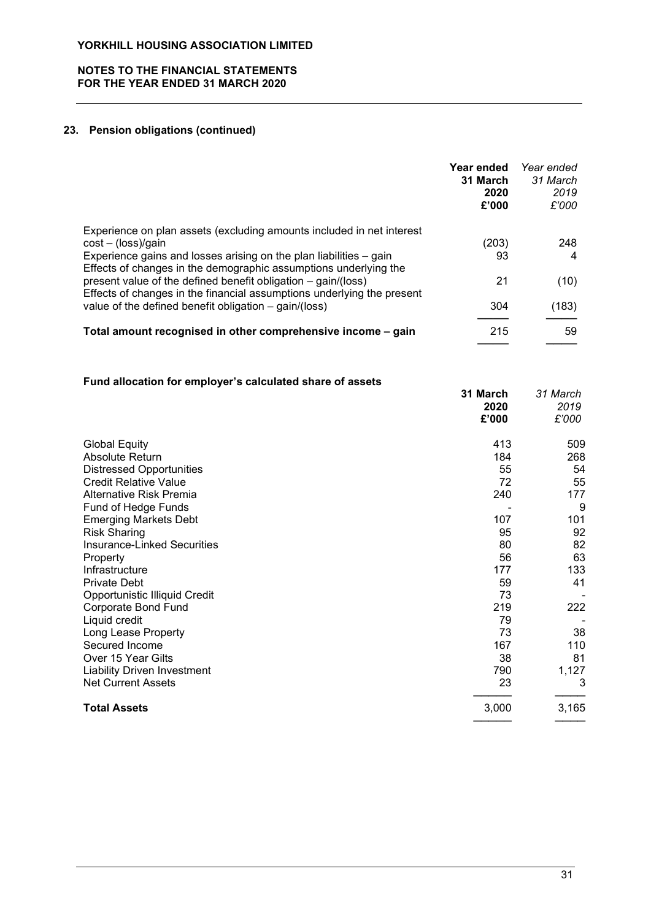# NOTES TO THE FINANCIAL STATEMENTS FOR THE YEAR ENDED 31 MARCH 2020

# 23. Pension obligations (continued)

|                                                                                                                                                                                                             | Year ended<br>31 March<br>2020<br>£'000 | Year ended<br>31 March<br>2019<br>£'000 |
|-------------------------------------------------------------------------------------------------------------------------------------------------------------------------------------------------------------|-----------------------------------------|-----------------------------------------|
| Experience on plan assets (excluding amounts included in net interest                                                                                                                                       |                                         |                                         |
| $cost - (loss)/gain$                                                                                                                                                                                        | (203)                                   | 248                                     |
| Experience gains and losses arising on the plan liabilities – gain                                                                                                                                          | 93                                      | 4                                       |
| Effects of changes in the demographic assumptions underlying the<br>present value of the defined benefit obligation - gain/(loss)<br>Effects of changes in the financial assumptions underlying the present | 21                                      | (10)                                    |
| value of the defined benefit obligation - gain/(loss)                                                                                                                                                       | 304                                     | (183)                                   |
| Total amount recognised in other comprehensive income - gain                                                                                                                                                | 215                                     | 59                                      |

# Fund allocation for employer's calculated share of assets

|                                    | 31 March<br>2020<br>£'000 | 31 March<br>2019<br>£'000 |
|------------------------------------|---------------------------|---------------------------|
| <b>Global Equity</b>               | 413                       | 509                       |
| Absolute Return                    | 184                       | 268                       |
| <b>Distressed Opportunities</b>    | 55                        | 54                        |
| <b>Credit Relative Value</b>       | 72                        | 55                        |
| <b>Alternative Risk Premia</b>     | 240                       | 177                       |
| Fund of Hedge Funds                |                           | 9                         |
| <b>Emerging Markets Debt</b>       | 107                       | 101                       |
| <b>Risk Sharing</b>                | 95                        | 92                        |
| <b>Insurance-Linked Securities</b> | 80                        | 82                        |
| Property                           | 56                        | 63                        |
| Infrastructure                     | 177                       | 133                       |
| <b>Private Debt</b>                | 59                        | 41                        |
| Opportunistic Illiquid Credit      | 73                        |                           |
| <b>Corporate Bond Fund</b>         | 219                       | 222                       |
| Liquid credit                      | 79                        |                           |
| Long Lease Property                | 73                        | 38                        |
| Secured Income                     | 167                       | 110                       |
| Over 15 Year Gilts                 | 38                        | 81                        |
| <b>Liability Driven Investment</b> | 790                       | 1,127                     |
| <b>Net Current Assets</b>          | 23                        | 3                         |
| <b>Total Assets</b>                | 3,000                     | 3,165                     |
|                                    |                           |                           |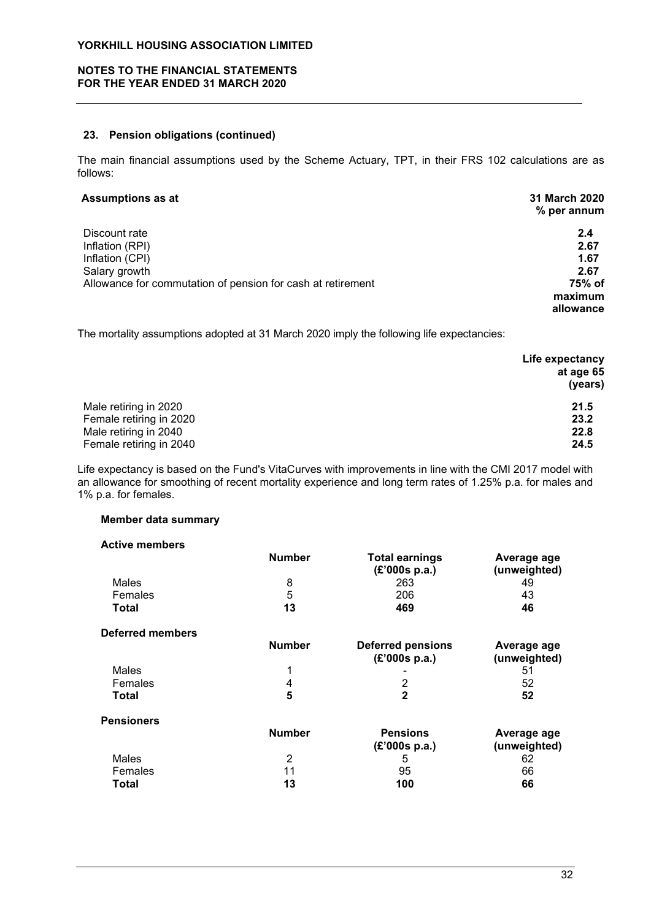# NOTES TO THE FINANCIAL STATEMENTS FOR THE YEAR ENDED 31 MARCH 2020

### 23. Pension obligations (continued)

The main financial assumptions used by the Scheme Actuary, TPT, in their FRS 102 calculations are as follows:

# Assumptions as at 31 March 2020

| ----------------                                            | % per annum |
|-------------------------------------------------------------|-------------|
| Discount rate                                               | 2.4         |
| Inflation (RPI)                                             | 2.67        |
| Inflation (CPI)                                             | 1.67        |
| Salary growth                                               | 2.67        |
| Allowance for commutation of pension for cash at retirement | 75% of      |
|                                                             | maximum     |
|                                                             | allowance   |

The mortality assumptions adopted at 31 March 2020 imply the following life expectancies:

|                         | Life expectancy |
|-------------------------|-----------------|
|                         | at age 65       |
|                         | (years)         |
| Male retiring in 2020   | 21.5            |
| Female retiring in 2020 | 23.2            |
| Male retiring in 2040   | 22.8            |
| Female retiring in 2040 | 24.5            |

Life expectancy is based on the Fund's VitaCurves with improvements in line with the CMI 2017 model with an allowance for smoothing of recent mortality experience and long term rates of 1.25% p.a. for males and 1% p.a. for females.

# Member data summary

| <b>Active members</b>   |               |                                           |                             |
|-------------------------|---------------|-------------------------------------------|-----------------------------|
|                         | <b>Number</b> | <b>Total earnings</b><br>(£'000s p.a.)    | Average age<br>(unweighted) |
| Males                   | 8             | 263                                       | 49                          |
| Females                 | 5             | 206                                       | 43                          |
| Total                   | 13            | 469                                       | 46                          |
| <b>Deferred members</b> |               |                                           |                             |
|                         | <b>Number</b> | <b>Deferred pensions</b><br>(E'000s p.a.) | Average age<br>(unweighted) |
| Males                   | 1             |                                           | 51                          |
| Females                 | 4             | 2                                         | 52                          |
| Total                   | 5             | $\mathbf{2}$                              | 52                          |
| <b>Pensioners</b>       |               |                                           |                             |
|                         | <b>Number</b> | <b>Pensions</b><br>(E'000s p.a.)          | Average age<br>(unweighted) |
| Males                   | 2             | 5                                         | 62                          |
| Females                 | 11            | 95                                        | 66                          |
| Total                   | 13            | 100                                       | 66                          |